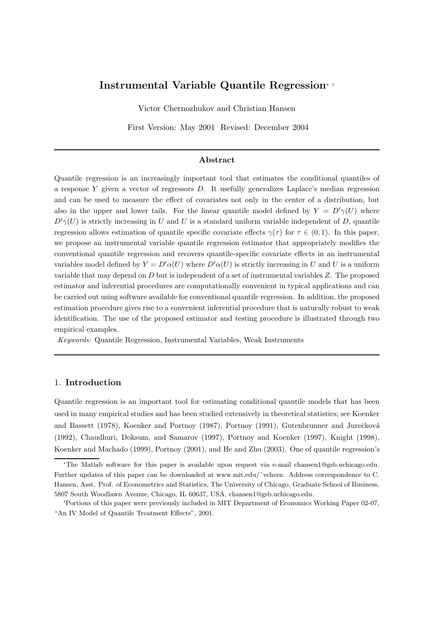# Instrumental Variable Quantile Regression<sup>∗</sup> †

Victor Chernozhukov and Christian Hansen

First Version: May 2001 Revised: December 2004

## Abstract

Quantile regression is an increasingly important tool that estimates the conditional quantiles of a response Y given a vector of regressors D. It usefully generalizes Laplace's median regression and can be used to measure the effect of covariates not only in the center of a distribution, but also in the upper and lower tails. For the linear quantile model defined by  $Y = D'\gamma(U)$  where  $D'\gamma(U)$  is strictly increasing in U and U is a standard uniform variable independent of D, quantile regression allows estimation of quantile specific covariate effects  $\gamma(\tau)$  for  $\tau \in (0,1)$ . In this paper, we propose an instrumental variable quantile regression estimator that appropriately modifies the conventional quantile regression and recovers quantile-specific covariate effects in an instrumental variables model defined by  $Y = D'\alpha(U)$  where  $D'\alpha(U)$  is strictly increasing in U and U is a uniform variable that may depend on  $D$  but is independent of a set of instrumental variables  $Z$ . The proposed estimator and inferential procedures are computationally convenient in typical applications and can be carried out using software available for conventional quantile regression. In addition, the proposed estimation procedure gives rise to a convenient inferential procedure that is naturally robust to weak identification. The use of the proposed estimator and testing procedure is illustrated through two empirical examples.

Keywords: Quantile Regression, Instrumental Variables, Weak Instruments

# 1. Introduction

Quantile regression is an important tool for estimating conditional quantile models that has been used in many empirical studies and has been studied extensively in theoretical statistics; see Koenker and Bassett (1978), Koenker and Portnoy (1987), Portnoy (1991), Gutenbrunner and Jurečková (1992), Chaudhuri, Doksum, and Samarov (1997), Portnoy and Koenker (1997), Knight (1998), Koenker and Machado (1999), Portnoy (2001), and He and Zhu (2003). One of quantile regression's

<sup>∗</sup>The Matlab software for this paper is available upon request via e-mail chansen1@gsb.uchicago.edu. Further updates of this paper can be downloaded at www.mit.edu/˜vchern. Address correspondence to C. Hansen, Asst. Prof. of Econometrics and Statistics, The University of Chicago, Graduate School of Business, 5807 South Woodlawn Avenue, Chicago, IL 60637, USA, chansen1@gsb.uchicago.edu.

<sup>†</sup>Portions of this paper were previously included in MIT Department of Economics Working Paper 02-07, "An IV Model of Quantile Treatment Effects", 2001.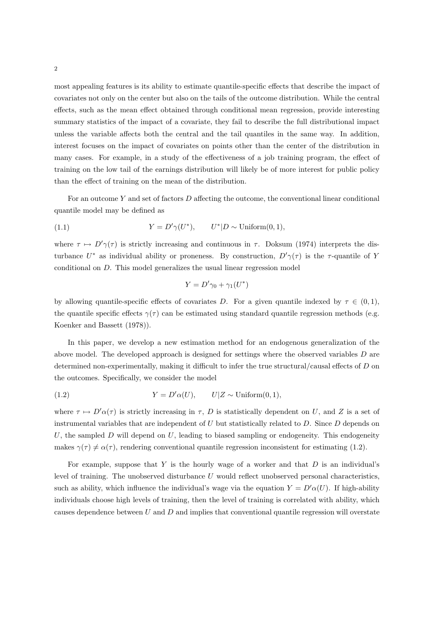most appealing features is its ability to estimate quantile-specific effects that describe the impact of covariates not only on the center but also on the tails of the outcome distribution. While the central effects, such as the mean effect obtained through conditional mean regression, provide interesting summary statistics of the impact of a covariate, they fail to describe the full distributional impact unless the variable affects both the central and the tail quantiles in the same way. In addition, interest focuses on the impact of covariates on points other than the center of the distribution in many cases. For example, in a study of the effectiveness of a job training program, the effect of training on the low tail of the earnings distribution will likely be of more interest for public policy than the effect of training on the mean of the distribution.

For an outcome Y and set of factors D affecting the outcome, the conventional linear conditional quantile model may be defined as

(1.1) 
$$
Y = D'\gamma(U^*), \qquad U^*|D \sim \text{Uniform}(0,1),
$$

where  $\tau \mapsto D'(\tau)$  is strictly increasing and continuous in  $\tau$ . Doksum (1974) interprets the disturbance  $U^*$  as individual ability or proneness. By construction,  $D'\gamma(\tau)$  is the  $\tau$ -quantile of Y conditional on D. This model generalizes the usual linear regression model

$$
Y = D'\gamma_0 + \gamma_1(U^*)
$$

by allowing quantile-specific effects of covariates D. For a given quantile indexed by  $\tau \in (0,1)$ , the quantile specific effects  $\gamma(\tau)$  can be estimated using standard quantile regression methods (e.g. Koenker and Bassett (1978)).

In this paper, we develop a new estimation method for an endogenous generalization of the above model. The developed approach is designed for settings where the observed variables D are determined non-experimentally, making it difficult to infer the true structural/causal effects of D on the outcomes. Specifically, we consider the model

(1.2) 
$$
Y = D'\alpha(U), \qquad U|Z \sim \text{Uniform}(0,1),
$$

where  $\tau \mapsto D'(\alpha(\tau))$  is strictly increasing in  $\tau$ , D is statistically dependent on U, and Z is a set of instrumental variables that are independent of  $U$  but statistically related to  $D$ . Since  $D$  depends on U, the sampled  $D$  will depend on  $U$ , leading to biased sampling or endogeneity. This endogeneity makes  $\gamma(\tau) \neq \alpha(\tau)$ , rendering conventional quantile regression inconsistent for estimating (1.2).

For example, suppose that  $Y$  is the hourly wage of a worker and that  $D$  is an individual's level of training. The unobserved disturbance  $U$  would reflect unobserved personal characteristics, such as ability, which influence the individual's wage via the equation  $Y = D'(\alpha(U))$ . If high-ability individuals choose high levels of training, then the level of training is correlated with ability, which causes dependence between  $U$  and  $D$  and implies that conventional quantile regression will overstate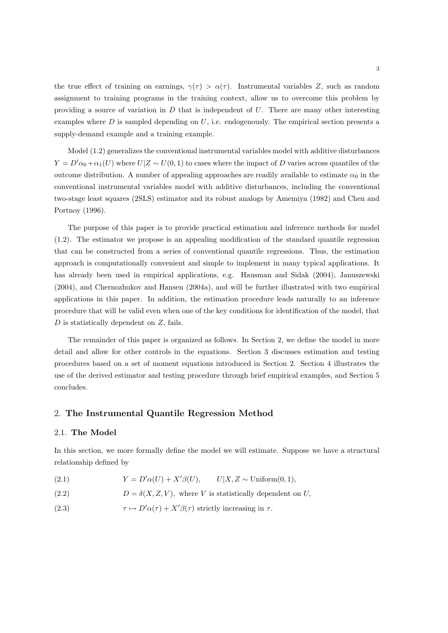the true effect of training on earnings,  $\gamma(\tau) > \alpha(\tau)$ . Instrumental variables Z, such as random assignment to training programs in the training context, allow us to overcome this problem by providing a source of variation in  $D$  that is independent of  $U$ . There are many other interesting examples where  $D$  is sampled depending on  $U$ , i.e. endogenously. The empirical section presents a supply-demand example and a training example.

Model (1.2) generalizes the conventional instrumental variables model with additive disturbances  $Y = D'\alpha_0 + \alpha_1(U)$  where  $U|Z \sim U(0, 1)$  to cases where the impact of D varies across quantiles of the outcome distribution. A number of appealing approaches are readily available to estimate  $\alpha_0$  in the conventional instrumental variables model with additive disturbances, including the conventional two-stage least squares (2SLS) estimator and its robust analogs by Amemiya (1982) and Chen and Portnoy (1996).

The purpose of this paper is to provide practical estimation and inference methods for model (1.2). The estimator we propose is an appealing modification of the standard quantile regression that can be constructed from a series of conventional quantile regressions. Thus, the estimation approach is computationally convenient and simple to implement in many typical applications. It has already been used in empirical applications, e.g. Hausman and Sidak (2004), Januszewski (2004), and Chernozhukov and Hansen (2004a), and will be further illustrated with two empirical applications in this paper. In addition, the estimation procedure leads naturally to an inference procedure that will be valid even when one of the key conditions for identification of the model, that  $D$  is statistically dependent on  $Z$ , fails.

The remainder of this paper is organized as follows. In Section 2, we define the model in more detail and allow for other controls in the equations. Section 3 discusses estimation and testing procedures based on a set of moment equations introduced in Section 2. Section 4 illustrates the use of the derived estimator and testing procedure through brief empirical examples, and Section 5 concludes.

### 2. The Instrumental Quantile Regression Method

#### 2.1. The Model

In this section, we more formally define the model we will estimate. Suppose we have a structural relationship defined by

- (2.1)  $Y = D'\alpha(U) + X'\beta(U), \qquad U|X, Z \sim \text{Uniform}(0, 1),$
- (2.2)  $D = \delta(X, Z, V)$ , where V is statistically dependent on U,
- (2.3)  $\tau \mapsto D' \alpha(\tau) + X' \beta(\tau)$  strictly increasing in  $\tau$ .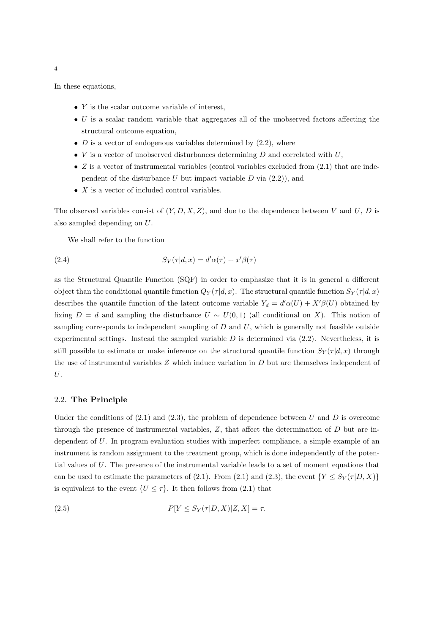In these equations,

- $\bullet$  Y is the scalar outcome variable of interest,
- $\bullet$  U is a scalar random variable that aggregates all of the unobserved factors affecting the structural outcome equation,
- $D$  is a vector of endogenous variables determined by  $(2.2)$ , where
- $V$  is a vector of unobserved disturbances determining  $D$  and correlated with  $U$ ,
- $Z$  is a vector of instrumental variables (control variables excluded from  $(2.1)$  that are independent of the disturbance U but impact variable  $D$  via  $(2.2)$ , and
- $X$  is a vector of included control variables.

The observed variables consist of  $(Y, D, X, Z)$ , and due to the dependence between V and U, D is also sampled depending on U.

We shall refer to the function

(2.4) 
$$
S_Y(\tau|d,x) = d'\alpha(\tau) + x'\beta(\tau)
$$

as the Structural Quantile Function (SQF) in order to emphasize that it is in general a different object than the conditional quantile function  $Q_Y(\tau|d, x)$ . The structural quantile function  $S_Y(\tau|d, x)$ describes the quantile function of the latent outcome variable  $Y_d = d' \alpha(U) + X' \beta(U)$  obtained by fixing  $D = d$  and sampling the disturbance  $U \sim U(0, 1)$  (all conditional on X). This notion of sampling corresponds to independent sampling of  $D$  and  $U$ , which is generally not feasible outside experimental settings. Instead the sampled variable  $D$  is determined via  $(2.2)$ . Nevertheless, it is still possible to estimate or make inference on the structural quantile function  $S_Y(\tau|d, x)$  through the use of instrumental variables  $Z$  which induce variation in  $D$  but are themselves independent of U.

#### 2.2. The Principle

Under the conditions of  $(2.1)$  and  $(2.3)$ , the problem of dependence between U and D is overcome through the presence of instrumental variables,  $Z$ , that affect the determination of  $D$  but are independent of U. In program evaluation studies with imperfect compliance, a simple example of an instrument is random assignment to the treatment group, which is done independently of the potential values of U. The presence of the instrumental variable leads to a set of moment equations that can be used to estimate the parameters of (2.1). From (2.1) and (2.3), the event  ${Y \leq S_Y(\tau|D, X)}$ is equivalent to the event  $\{U \leq \tau\}$ . It then follows from (2.1) that

(2.5) 
$$
P[Y \leq S_Y(\tau|D, X)|Z, X] = \tau.
$$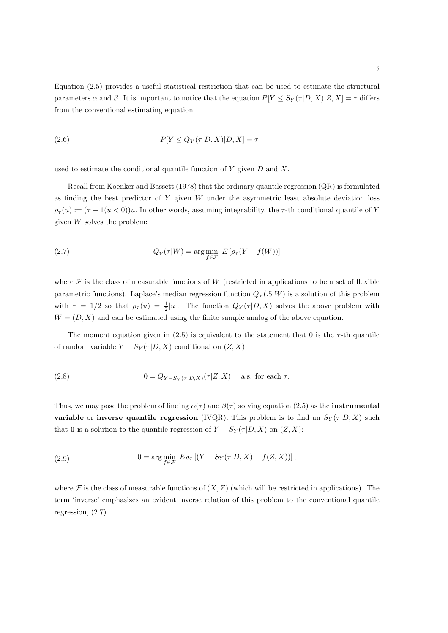(2.6) 
$$
P[Y \leq Q_Y(\tau|D, X)|D, X] = \tau
$$

used to estimate the conditional quantile function of  $Y$  given  $D$  and  $X$ .

Recall from Koenker and Bassett (1978) that the ordinary quantile regression (QR) is formulated as finding the best predictor of  $Y$  given  $W$  under the asymmetric least absolute deviation loss  $\rho_{\tau}(u) := (\tau - 1(u < 0))u$ . In other words, assuming integrability, the  $\tau$ -th conditional quantile of Y given  $W$  solves the problem:

(2.7) 
$$
Q_Y(\tau|W) = \arg\min_{f \in \mathcal{F}} E\left[\rho_\tau(Y - f(W))\right]
$$

where  $\mathcal F$  is the class of measurable functions of W (restricted in applications to be a set of flexible parametric functions). Laplace's median regression function  $Q_Y(0.5|W)$  is a solution of this problem with  $\tau = 1/2$  so that  $\rho_{\tau}(u) = \frac{1}{2}|u|$ . The function  $Q_Y(\tau|D, X)$  solves the above problem with  $W = (D, X)$  and can be estimated using the finite sample analog of the above equation.

The moment equation given in (2.5) is equivalent to the statement that 0 is the  $\tau$ -th quantile of random variable  $Y - S_Y(\tau|D, X)$  conditional on  $(Z, X)$ :

(2.8) 
$$
0 = Q_{Y-S_Y(\tau|D,X)}(\tau|Z,X) \quad \text{a.s. for each } \tau.
$$

Thus, we may pose the problem of finding  $\alpha(\tau)$  and  $\beta(\tau)$  solving equation (2.5) as the **instrumental** variable or inverse quantile regression (IVQR). This problem is to find an  $S_Y(\tau|D, X)$  such that 0 is a solution to the quantile regression of  $Y - S_Y(\tau|D, X)$  on  $(Z, X)$ :

(2.9) 
$$
0 = \arg\min_{f \in \mathcal{F}} E \rho_{\tau} [(Y - S_Y(\tau|D, X) - f(Z, X))],
$$

where  $\mathcal F$  is the class of measurable functions of  $(X, Z)$  (which will be restricted in applications). The term 'inverse' emphasizes an evident inverse relation of this problem to the conventional quantile regression, (2.7).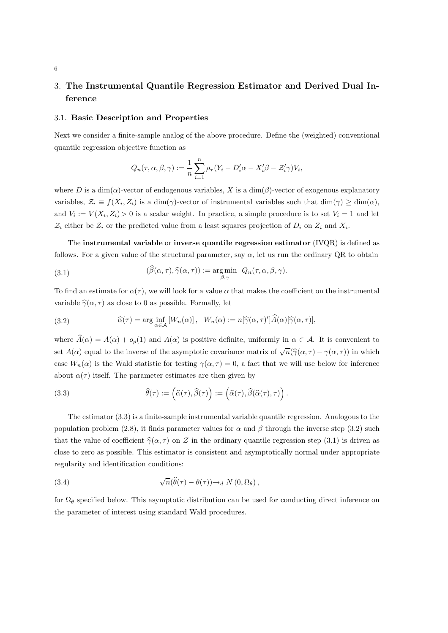# 3. The Instrumental Quantile Regression Estimator and Derived Dual Inference

#### 3.1. Basic Description and Properties

Next we consider a finite-sample analog of the above procedure. Define the (weighted) conventional quantile regression objective function as

$$
Q_n(\tau,\alpha,\beta,\gamma) := \frac{1}{n} \sum_{i=1}^n \rho_\tau (Y_i - D_i' \alpha - X_i' \beta - \mathcal{Z}_i' \gamma) V_i,
$$

where D is a  $\dim(\alpha)$ -vector of endogenous variables, X is a  $\dim(\beta)$ -vector of exogenous explanatory variables,  $\mathcal{Z}_i \equiv f(X_i, Z_i)$  is a dim( $\gamma$ )-vector of instrumental variables such that  $\dim(\gamma) \ge \dim(\alpha)$ , and  $V_i := V(X_i, Z_i) > 0$  is a scalar weight. In practice, a simple procedure is to set  $V_i = 1$  and let  $\mathcal{Z}_i$  either be  $Z_i$  or the predicted value from a least squares projection of  $D_i$  on  $Z_i$  and  $X_i$ .

The instrumental variable or inverse quantile regression estimator (IVQR) is defined as follows. For a given value of the structural parameter, say  $\alpha$ , let us run the ordinary QR to obtain

(3.1) 
$$
(\widehat{\beta}(\alpha,\tau),\widehat{\gamma}(\alpha,\tau)) := \underset{\beta,\gamma}{\arg\min} Q_n(\tau,\alpha,\beta,\gamma).
$$

To find an estimate for  $\alpha(\tau)$ , we will look for a value  $\alpha$  that makes the coefficient on the instrumental variable  $\hat{\gamma}(\alpha, \tau)$  as close to 0 as possible. Formally, let

(3.2) 
$$
\widehat{\alpha}(\tau) = \arg\inf_{\alpha \in \mathcal{A}} \left[ W_n(\alpha) \right], \quad W_n(\alpha) := n[\widehat{\gamma}(\alpha, \tau)'] \widehat{A}(\alpha) [\widehat{\gamma}(\alpha, \tau)],
$$

where  $\widehat{A}(\alpha) = A(\alpha) + o_p(1)$  and  $A(\alpha)$  is positive definite, uniformly in  $\alpha \in A$ . It is convenient to set  $A(\alpha)$  equal to the inverse of the asymptotic covariance matrix of  $\sqrt{n}(\hat{\gamma}(\alpha, \tau) - \gamma(\alpha, \tau))$  in which case  $W_n(\alpha)$  is the Wald statistic for testing  $\gamma(\alpha, \tau) = 0$ , a fact that we will use below for inference about  $\alpha(\tau)$  itself. The parameter estimates are then given by

(3.3) 
$$
\widehat{\theta}(\tau) := (\widehat{\alpha}(\tau), \widehat{\beta}(\tau)) := (\widehat{\alpha}(\tau), \widehat{\beta}(\widehat{\alpha}(\tau), \tau)).
$$

The estimator (3.3) is a finite-sample instrumental variable quantile regression. Analogous to the population problem (2.8), it finds parameter values for  $\alpha$  and  $\beta$  through the inverse step (3.2) such that the value of coefficient  $\hat{\gamma}(\alpha, \tau)$  on Z in the ordinary quantile regression step (3.1) is driven as close to zero as possible. This estimator is consistent and asymptotically normal under appropriate regularity and identification conditions:

(3.4) 
$$
\sqrt{n}(\widehat{\theta}(\tau) - \theta(\tau)) \to_d N(0, \Omega_\theta),
$$

for  $\Omega_{\theta}$  specified below. This asymptotic distribution can be used for conducting direct inference on the parameter of interest using standard Wald procedures.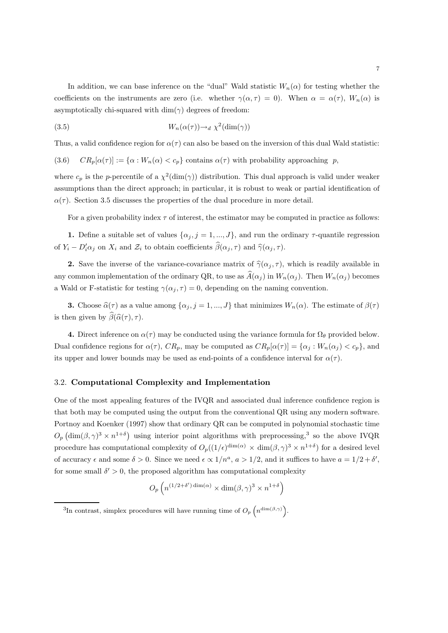In addition, we can base inference on the "dual" Wald statistic  $W_n(\alpha)$  for testing whether the coefficients on the instruments are zero (i.e. whether  $\gamma(\alpha, \tau) = 0$ ). When  $\alpha = \alpha(\tau)$ ,  $W_n(\alpha)$  is asymptotically chi-squared with  $\dim(\gamma)$  degrees of freedom:

(3.5) 
$$
W_n(\alpha(\tau)) \to_d \chi^2(\dim(\gamma))
$$

Thus, a valid confidence region for  $\alpha(\tau)$  can also be based on the inversion of this dual Wald statistic:

(3.6)  $CR_p[\alpha(\tau)] := {\alpha : W_n(\alpha) < c_p}$  contains  $\alpha(\tau)$  with probability approaching p,

where  $c_p$  is the p-percentile of a  $\chi^2(\text{dim}(\gamma))$  distribution. This dual approach is valid under weaker assumptions than the direct approach; in particular, it is robust to weak or partial identification of  $\alpha(\tau)$ . Section 3.5 discusses the properties of the dual procedure in more detail.

For a given probability index  $\tau$  of interest, the estimator may be computed in practice as follows:

1. Define a suitable set of values  $\{\alpha_j, j = 1, ..., J\}$ , and run the ordinary  $\tau$ -quantile regression of  $Y_i - D'_i \alpha_j$  on  $X_i$  and  $\mathcal{Z}_i$  to obtain coefficients  $\beta(\alpha_j, \tau)$  and  $\widehat{\gamma}(\alpha_j, \tau)$ .

2. Save the inverse of the variance-covariance matrix of  $\hat{\gamma}(\alpha_j, \tau)$ , which is readily available in any common implementation of the ordinary QR, to use as  $\hat{A}(\alpha_i)$  in  $W_n(\alpha_i)$ . Then  $W_n(\alpha_j)$  becomes a Wald or F-statistic for testing  $\gamma(\alpha_j, \tau) = 0$ , depending on the naming convention.

**3.** Choose  $\hat{\alpha}(\tau)$  as a value among  $\{\alpha_j, j = 1, ..., J\}$  that minimizes  $W_n(\alpha)$ . The estimate of  $\beta(\tau)$ is then given by  $\widehat{\beta}(\widehat{\alpha}(\tau), \tau)$ .

4. Direct inference on  $\alpha(\tau)$  may be conducted using the variance formula for  $\Omega_{\theta}$  provided below. Dual confidence regions for  $\alpha(\tau)$ ,  $CR_p$ , may be computed as  $CR_p[\alpha(\tau)] = {\alpha_j : W_n(\alpha_j) < c_p}$ , and its upper and lower bounds may be used as end-points of a confidence interval for  $\alpha(\tau)$ .

## 3.2. Computational Complexity and Implementation

One of the most appealing features of the IVQR and associated dual inference confidence region is that both may be computed using the output from the conventional QR using any modern software. Portnoy and Koenker (1997) show that ordinary QR can be computed in polynomial stochastic time  $O_p\left(\dim(\beta, \gamma)^3 \times n^{1+\delta}\right)$  using interior point algorithms with preprocessing,<sup>3</sup> so the above IVQR procedure has computational complexity of  $O_p((1/\epsilon)^{\dim(\alpha)} \times \dim(\beta, \gamma)^3 \times n^{1+\delta})$  for a desired level of accuracy  $\epsilon$  and some  $\delta > 0$ . Since we need  $\epsilon \propto 1/n^a$ ,  $a > 1/2$ , and it suffices to have  $a = 1/2 + \delta'$ , for some small  $\delta' > 0$ , the proposed algorithm has computational complexity

$$
O_p\left(n^{(1/2+\delta')\dim(\alpha)} \times \dim(\beta,\gamma)^3 \times n^{1+\delta}\right)
$$

<sup>&</sup>lt;sup>3</sup>In contrast, simplex procedures will have running time of  $O_p\left(n^{\dim(\beta,\gamma)}\right)$ .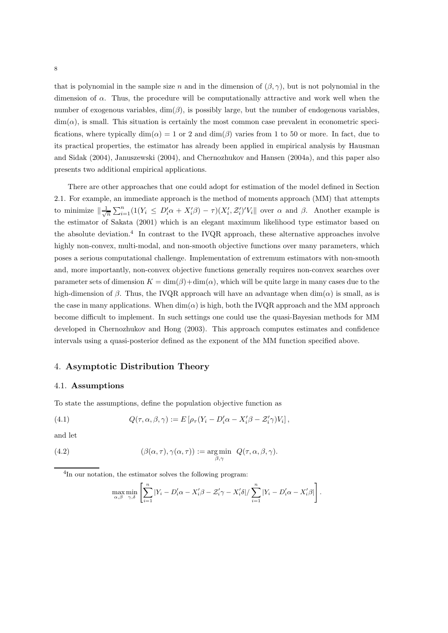that is polynomial in the sample size n and in the dimension of  $(\beta, \gamma)$ , but is not polynomial in the dimension of  $\alpha$ . Thus, the procedure will be computationally attractive and work well when the number of exogenous variables,  $\dim(\beta)$ , is possibly large, but the number of endogenous variables,  $\dim(\alpha)$ , is small. This situation is certainly the most common case prevalent in econometric specifications, where typically  $\dim(\alpha) = 1$  or 2 and  $\dim(\beta)$  varies from 1 to 50 or more. In fact, due to its practical properties, the estimator has already been applied in empirical analysis by Hausman and Sidak (2004), Januszewski (2004), and Chernozhukov and Hansen (2004a), and this paper also presents two additional empirical applications.

There are other approaches that one could adopt for estimation of the model defined in Section 2.1. For example, an immediate approach is the method of moments approach (MM) that attempts to minimize  $\|\frac{1}{\sqrt{n}}\sum_{i=1}^n(1(Y_i \leq D'_i\alpha + X'_i\beta) - \tau)(X'_i, \mathcal{Z}'_i)'V_i\|$  over  $\alpha$  and  $\beta$ . Another example is the estimator of Sakata (2001) which is an elegant maximum likelihood type estimator based on the absolute deviation.<sup>4</sup> In contrast to the IVQR approach, these alternative approaches involve highly non-convex, multi-modal, and non-smooth objective functions over many parameters, which poses a serious computational challenge. Implementation of extremum estimators with non-smooth and, more importantly, non-convex objective functions generally requires non-convex searches over parameter sets of dimension  $K = \dim(\beta) + \dim(\alpha)$ , which will be quite large in many cases due to the high-dimension of β. Thus, the IVQR approach will have an advantage when  $\dim(\alpha)$  is small, as is the case in many applications. When  $\dim(\alpha)$  is high, both the IVQR approach and the MM approach become difficult to implement. In such settings one could use the quasi-Bayesian methods for MM developed in Chernozhukov and Hong (2003). This approach computes estimates and confidence intervals using a quasi-posterior defined as the exponent of the MM function specified above.

# 4. Asymptotic Distribution Theory

#### 4.1. Assumptions

To state the assumptions, define the population objective function as

(4.1) 
$$
Q(\tau, \alpha, \beta, \gamma) := E\left[\rho_{\tau}(Y_i - D'_i\alpha - X'_i\beta - \mathcal{Z}'_i\gamma)V_i\right],
$$

and let

(4.2) 
$$
(\beta(\alpha, \tau), \gamma(\alpha, \tau)) := \underset{\beta, \gamma}{\text{arg min}} Q(\tau, \alpha, \beta, \gamma).
$$

<sup>4</sup>In our notation, the estimator solves the following program:

$$
\max_{\alpha,\beta} \min_{\gamma,\delta} \left[ \sum_{i=1}^n |Y_i - D_i'\alpha - X_i'\beta - \mathcal{Z}_i'\gamma - X_i'\delta| / \sum_{i=1}^n |Y_i - D_i'\alpha - X_i'\beta| \right].
$$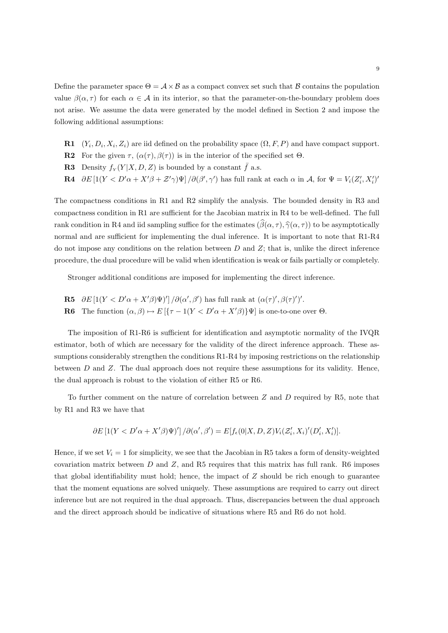Define the parameter space  $\Theta = \mathcal{A} \times \mathcal{B}$  as a compact convex set such that  $\mathcal{B}$  contains the population value  $\beta(\alpha, \tau)$  for each  $\alpha \in \mathcal{A}$  in its interior, so that the parameter-on-the-boundary problem does not arise. We assume the data were generated by the model defined in Section 2 and impose the following additional assumptions:

- **R1**  $(Y_i, D_i, X_i, Z_i)$  are iid defined on the probability space  $(\Omega, F, P)$  and have compact support.
- **R2** For the given  $\tau$ ,  $(\alpha(\tau), \beta(\tau))$  is in the interior of the specified set  $\Theta$ .
- **R3** Density  $f_Y(Y|X, D, Z)$  is bounded by a constant  $\bar{f}$  a.s.
- **R4**  $\partial E \left[1(Y \lt D' \alpha + X' \beta + \mathcal{Z}' \gamma) \Psi\right] / \partial(\beta', \gamma')$  has full rank at each  $\alpha$  in  $\mathcal{A}$ , for  $\Psi = V_i (Z'_i, X'_i)'$

The compactness conditions in R1 and R2 simplify the analysis. The bounded density in R3 and compactness condition in R1 are sufficient for the Jacobian matrix in R4 to be well-defined. The full rank condition in R4 and iid sampling suffice for the estimates  $(\widehat{\beta}(\alpha, \tau), \widehat{\gamma}(\alpha, \tau))$  to be asymptotically normal and are sufficient for implementing the dual inference. It is important to note that R1-R4 do not impose any conditions on the relation between  $D$  and  $Z$ ; that is, unlike the direct inference procedure, the dual procedure will be valid when identification is weak or fails partially or completely.

Stronger additional conditions are imposed for implementing the direct inference.

**R5**  $\partial E \left[1(Y \lt D' \alpha + X' \beta) \Psi\right] / \partial(\alpha', \beta')$  has full rank at  $(\alpha(\tau)', \beta(\tau)')'.$ **R6** The function  $(\alpha, \beta) \mapsto E[\{\tau - 1(Y \leq D'\alpha + X'\beta)\}\Psi]$  is one-to-one over  $\Theta$ .

The imposition of R1-R6 is sufficient for identification and asymptotic normality of the IVQR estimator, both of which are necessary for the validity of the direct inference approach. These assumptions considerably strengthen the conditions R1-R4 by imposing restrictions on the relationship between  $D$  and  $Z$ . The dual approach does not require these assumptions for its validity. Hence, the dual approach is robust to the violation of either R5 or R6.

To further comment on the nature of correlation between Z and D required by R5, note that by R1 and R3 we have that

$$
\partial E\left[\frac{1}{Y} < D'\alpha + X'\beta\Psi\right]'\right]/\partial(\alpha', \beta') = E[f_{\epsilon}(0|X, D, Z)V_i(\mathcal{Z}'_i, X_i)'(D'_i, X'_i)].
$$

Hence, if we set  $V_i = 1$  for simplicity, we see that the Jacobian in R5 takes a form of density-weighted covariation matrix between  $D$  and  $Z$ , and R5 requires that this matrix has full rank. R6 imposes that global identifiability must hold; hence, the impact of  $Z$  should be rich enough to guarantee that the moment equations are solved uniquely. These assumptions are required to carry out direct inference but are not required in the dual approach. Thus, discrepancies between the dual approach and the direct approach should be indicative of situations where R5 and R6 do not hold.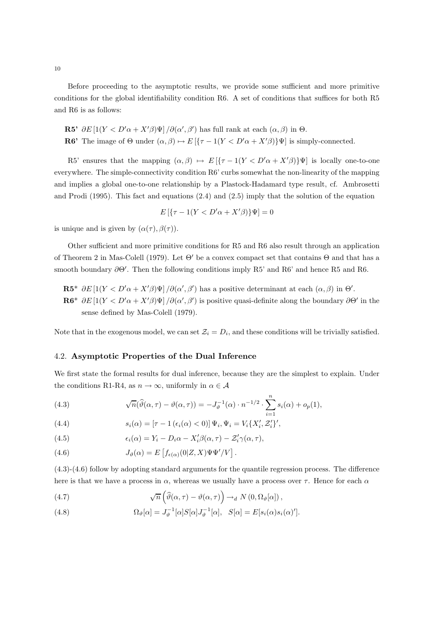Before proceeding to the asymptotic results, we provide some sufficient and more primitive conditions for the global identifiability condition R6. A set of conditions that suffices for both R5 and R6 is as follows:

\n- **R5'** 
$$
\partial E\left[1(Y < D'\alpha + X'\beta)\Psi\right]/\partial(\alpha', \beta')
$$
 has full rank at each  $(\alpha, \beta)$  in  $\Theta$ .
\n- **R6'** The image of  $\Theta$  under  $(\alpha, \beta) \mapsto E\left[\left\{\tau - 1(Y < D'\alpha + X'\beta)\right\}\Psi\right]$  is simply-connected.
\n

R5' ensures that the mapping  $(\alpha, \beta) \mapsto E\left[\frac{\tau - 1(Y < D'\alpha + X'\beta)}{V}\right]$  is locally one-to-one everywhere. The simple-connectivity condition R6' curbs somewhat the non-linearity of the mapping and implies a global one-to-one relationship by a Plastock-Hadamard type result, cf. Ambrosetti and Prodi (1995). This fact and equations (2.4) and (2.5) imply that the solution of the equation

$$
E\left[\left\{\tau - 1(Y < D'\alpha + X'\beta)\right\}\Psi\right] = 0
$$

is unique and is given by  $(\alpha(\tau), \beta(\tau))$ .

Other sufficient and more primitive conditions for R5 and R6 also result through an application of Theorem 2 in Mas-Colell (1979). Let  $\Theta'$  be a convex compact set that contains  $\Theta$  and that has a smooth boundary ∂Θ'. Then the following conditions imply R5' and R6' and hence R5 and R6.

 $\mathbf{R5}^*$   $\partial E\left[1(Y \langle D'\alpha + X'\beta \rangle\Psi\right] / \partial(\alpha',\beta')$  has a positive determinant at each  $(\alpha,\beta)$  in  $\Theta'$ .  $\mathbf{R6}^*$   $\partial E$  [1(Y <  $D'\alpha + X'\beta\Psi$ ]  $\partial(\alpha', \beta')$  is positive quasi-definite along the boundary  $\partial\Theta'$  in the sense defined by Mas-Colell (1979).

Note that in the exogenous model, we can set  $\mathcal{Z}_i = D_i$ , and these conditions will be trivially satisfied.

#### 4.2. Asymptotic Properties of the Dual Inference

We first state the formal results for dual inference, because they are the simplest to explain. Under the conditions R1-R4, as  $n \to \infty$ , uniformly in  $\alpha \in \mathcal{A}$ 

(4.3) 
$$
\sqrt{n}(\widehat{\vartheta}(\alpha,\tau)-\vartheta(\alpha,\tau))=-J_{\vartheta}^{-1}(\alpha)\cdot n^{-1/2}\cdot\sum_{i=1}^n s_i(\alpha)+o_p(1),
$$

(4.4) 
$$
s_i(\alpha) = \left[\tau - 1\left(\epsilon_i(\alpha) < 0\right)\right] \Psi_i, \Psi_i = V_i \{X'_i, \mathcal{Z}'_i\}',
$$

(4.5) 
$$
\epsilon_i(\alpha) = Y_i - D_i \alpha - X'_i \beta(\alpha, \tau) - Z'_i \gamma(\alpha, \tau),
$$

(4.6) 
$$
J_{\vartheta}(\alpha) = E\left[f_{\epsilon(\alpha)}(0|Z,X)\Psi\Psi'/V\right].
$$

(4.3)-(4.6) follow by adopting standard arguments for the quantile regression process. The difference here is that we have a process in  $\alpha$ , whereas we usually have a process over  $\tau$ . Hence for each  $\alpha$ 

(4.7) 
$$
\sqrt{n}\left(\widehat{\vartheta}(\alpha,\tau)-\vartheta(\alpha,\tau)\right)\to_d N(0,\Omega_{\vartheta}[\alpha]),
$$

(4.8) 
$$
\Omega_{\vartheta}[\alpha] = J_{\vartheta}^{-1}[\alpha]S[\alpha]J_{\vartheta}^{-1}[\alpha], \quad S[\alpha] = E[s_i(\alpha)s_i(\alpha)'].
$$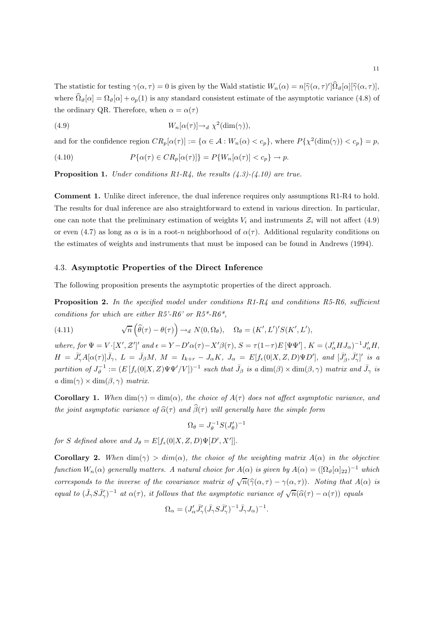The statistic for testing  $\gamma(\alpha, \tau) = 0$  is given by the Wald statistic  $W_n(\alpha) = n[\hat{\gamma}(\alpha, \tau)]\Omega_{\vartheta}[\alpha][\hat{\gamma}(\alpha, \tau)],$ where  $\hat{\Omega}_{\vartheta}[\alpha] = \Omega_{\vartheta}[\alpha] + o_p(1)$  is any standard consistent estimate of the asymptotic variance (4.8) of the ordinary QR. Therefore, when  $\alpha = \alpha(\tau)$ 

(4.9) 
$$
W_n[\alpha(\tau)] \to_d \chi^2(\dim(\gamma)),
$$

and for the confidence region  $CR_p[\alpha(\tau)] := \{ \alpha \in \mathcal{A} : W_n(\alpha) < c_p \}$ , where  $P\{\chi^2(\dim(\gamma)) < c_p \} = p$ ,

(4.10) 
$$
P\{\alpha(\tau) \in CR_p[\alpha(\tau)]\} = P\{W_n[\alpha(\tau)] < c_p\} \to p.
$$

**Proposition 1.** Under conditions R1-R4, the results  $(4.3)-(4.10)$  are true.

Comment 1. Unlike direct inference, the dual inference requires only assumptions R1-R4 to hold. The results for dual inference are also straightforward to extend in various direction. In particular, one can note that the preliminary estimation of weights  $V_i$  and instruments  $\mathcal{Z}_i$  will not affect (4.9) or even (4.7) as long as  $\alpha$  is in a root-n neighborhood of  $\alpha(\tau)$ . Additional regularity conditions on the estimates of weights and instruments that must be imposed can be found in Andrews (1994).

#### 4.3. Asymptotic Properties of the Direct Inference

The following proposition presents the asymptotic properties of the direct approach.

**Proposition 2.** In the specified model under conditions  $R1-R4$  and conditions  $R5-R6$ , sufficient conditions for which are either  $R5$ '- $R6$ ' or  $R5^*$ - $R6^*$ ,

(4.11) 
$$
\sqrt{n}\left(\widehat{\theta}(\tau)-\theta(\tau)\right)\to_d N(0,\Omega_\theta), \quad \Omega_\theta=(K',L')'S(K',L'),
$$

where, for  $\Psi = V \cdot [X', Z']'$  and  $\epsilon = Y - D'\alpha(\tau) - X'\beta(\tau)$ ,  $S = \tau(1-\tau)E[\Psi\Psi']$ ,  $K = (J'_{\alpha}HJ_{\alpha})^{-1}J'_{\alpha}H$ ,  $H = \bar{J}'_{\gamma} A[\alpha(\tau)] \bar{J}_{\gamma}, L = \bar{J}_{\beta} M, M = I_{k+r} - J_{\alpha} K, J_{\alpha} = E[f_{\epsilon}(0|X, Z, D)\Psi D'], and [\bar{J}'_{\beta}, \bar{J}'_{\gamma}]'$  is a partition of  $J_{\vartheta}^{-1} := (E[f_{\epsilon}(0|X,Z)\Psi\Psi'/V])^{-1}$  such that  $\bar{J}_{\beta}$  is a  $\dim(\beta) \times \dim(\beta, \gamma)$  matrix and  $\bar{J}_{\gamma}$  is  $a \dim(\gamma) \times \dim(\beta, \gamma)$  matrix.

**Corollary 1.** When  $\dim(\gamma) = \dim(\alpha)$ , the choice of  $A(\tau)$  does not affect asymptotic variance, and the joint asymptotic variance of  $\hat{\alpha}(\tau)$  and  $\hat{\beta}(\tau)$  will generally have the simple form

$$
\Omega_{\theta} = J_{\theta}^{-1} S(J_{\theta}')^{-1}
$$

for S defined above and  $J_{\theta} = E[f_{\epsilon}(0|X, Z, D)\Psi[D', X']].$ 

**Corollary 2.** When  $\dim(\gamma) > \dim(\alpha)$ , the choice of the weighting matrix  $A(\alpha)$  in the objective function  $W_n(\alpha)$  generally matters. A natural choice for  $A(\alpha)$  is given by  $A(\alpha) = ([\Omega_{\vartheta}[\alpha]_{22})^{-1}$  which corresponds to the inverse of the covariance matrix of  $\sqrt{n}(\hat{\gamma}(\alpha, \tau) - \gamma(\alpha, \tau))$ . Noting that  $A(\alpha)$  is equal to  $(\bar{J}_{\gamma}S\bar{J}'_{\gamma})^{-1}$  at  $\alpha(\tau)$ , it follows that the asymptotic variance of  $\sqrt{n}(\hat{\alpha}(\tau)-\alpha(\tau))$  equals

$$
\Omega_\alpha=(J'_\alpha \bar{J}'_\gamma (\bar{J}_\gamma S \bar{J}'_\gamma)^{-1} \bar{J}_\gamma J_\alpha)^{-1}
$$

.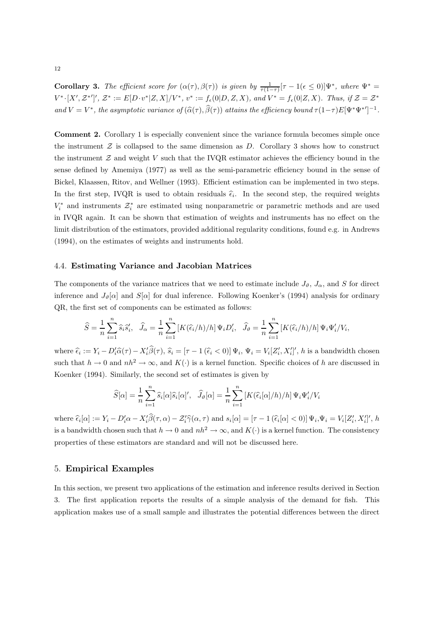**Corollary 3.** The efficient score for  $(\alpha(\tau), \beta(\tau))$  is given by  $\frac{1}{\tau(1-\tau)}[\tau-1(\epsilon \le 0)]\Psi^*$ , where  $\Psi^* =$  $V^*\cdot [X', \mathcal{Z}^*']', \mathcal{Z}^* := E[D \cdot v^* | Z, X]/V^*, v^* := f_{\epsilon}(0|D, Z, X), \text{ and } V^* = f_{\epsilon}(0|Z, X).$  Thus, if  $\mathcal{Z} = \mathcal{Z}^*$ and  $V = V^*$ , the asymptotic variance of  $(\hat{\alpha}(\tau), \hat{\beta}(\tau))$  attains the efficiency bound  $\tau(1-\tau)E[\Psi^*\Psi^*']^{-1}$ .

Comment 2. Corollary 1 is especially convenient since the variance formula becomes simple once the instrument  $Z$  is collapsed to the same dimension as  $D$ . Corollary 3 shows how to construct the instrument  $\mathcal Z$  and weight V such that the IVQR estimator achieves the efficiency bound in the sense defined by Amemiya (1977) as well as the semi-parametric efficiency bound in the sense of Bickel, Klaassen, Ritov, and Wellner (1993). Efficient estimation can be implemented in two steps. In the first step, IVQR is used to obtain residuals  $\hat{\epsilon}_i$ . In the second step, the required weights  $V_i^*$  and instruments  $\mathcal{Z}_i^*$  are estimated using nonparametric or parametric methods and are used in IVQR again. It can be shown that estimation of weights and instruments has no effect on the limit distribution of the estimators, provided additional regularity conditions, found e.g. in Andrews (1994), on the estimates of weights and instruments hold.

## 4.4. Estimating Variance and Jacobian Matrices

The components of the variance matrices that we need to estimate include  $J_{\vartheta}$ ,  $J_{\alpha}$ , and S for direct inference and  $J_{\vartheta}[\alpha]$  and  $S[\alpha]$  for dual inference. Following Koenker's (1994) analysis for ordinary QR, the first set of components can be estimated as follows:

$$
\widehat{S} = \frac{1}{n} \sum_{i=1}^{n} \widehat{s}_i \widehat{s}'_i, \quad \widehat{J}_{\alpha} = \frac{1}{n} \sum_{i=1}^{n} \left[ K(\widehat{\epsilon}_i/h)/h \right] \Psi_i D'_i, \quad \widehat{J}_{\vartheta} = \frac{1}{n} \sum_{i=1}^{n} \left[ K(\widehat{\epsilon}_i/h)/h \right] \Psi_i \Psi'_i / V_i,
$$

where  $\hat{\epsilon}_i := Y_i - D_i' \hat{\alpha}(\tau) - X_i' \beta(\tau)$ ,  $\hat{s}_i = [\tau - 1 \ (\hat{\epsilon}_i < 0)] \ \Psi_i$ ,  $\Psi_i = V_i [Z_i', X_i']'$ , h is a bandwidth chosen such that  $h \to 0$  and  $nh^2 \to \infty$ , and  $K(\cdot)$  is a kernel function. Specific choices of h are discussed in Koenker (1994). Similarly, the second set of estimates is given by

$$
\widehat{S}[\alpha] = \frac{1}{n} \sum_{i=1}^{n} \widehat{s}_{i}[\alpha] \widehat{s}_{i}[\alpha], \quad \widehat{J}_{\vartheta}[\alpha] = \frac{1}{n} \sum_{i=1}^{n} \left[ K(\widehat{\epsilon}_{i}[\alpha]/h)/h \right] \Psi_{i} \Psi'_{i}/V_{i}
$$

where  $\hat{\epsilon}_i[\alpha] := Y_i - D'_i\alpha - X'_i\beta(\tau, \alpha) - \mathcal{Z}'_i\hat{\gamma}(\alpha, \tau)$  and  $s_i[\alpha] = [\tau - 1 (\hat{\epsilon}_i[\alpha] < 0)] \Psi_i, \Psi_i = V_i[Z'_i, X'_i]'$ , h is a bandwidth chosen such that  $h \to 0$  and  $nh^2 \to \infty$ , and  $K(\cdot)$  is a kernel function. The consistency properties of these estimators are standard and will not be discussed here.

## 5. Empirical Examples

In this section, we present two applications of the estimation and inference results derived in Section 3. The first application reports the results of a simple analysis of the demand for fish. This application makes use of a small sample and illustrates the potential differences between the direct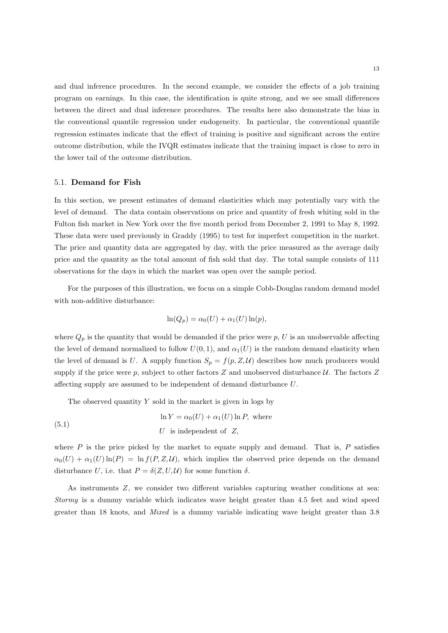and dual inference procedures. In the second example, we consider the effects of a job training program on earnings. In this case, the identification is quite strong, and we see small differences between the direct and dual inference procedures. The results here also demonstrate the bias in the conventional quantile regression under endogeneity. In particular, the conventional quantile regression estimates indicate that the effect of training is positive and significant across the entire outcome distribution, while the IVQR estimates indicate that the training impact is close to zero in the lower tail of the outcome distribution.

#### 5.1. Demand for Fish

In this section, we present estimates of demand elasticities which may potentially vary with the level of demand. The data contain observations on price and quantity of fresh whiting sold in the Fulton fish market in New York over the five month period from December 2, 1991 to May 8, 1992. These data were used previously in Graddy (1995) to test for imperfect competition in the market. The price and quantity data are aggregated by day, with the price measured as the average daily price and the quantity as the total amount of fish sold that day. The total sample consists of 111 observations for the days in which the market was open over the sample period.

For the purposes of this illustration, we focus on a simple Cobb-Douglas random demand model with non-additive disturbance:

$$
\ln(Q_p) = \alpha_0(U) + \alpha_1(U)\ln(p),
$$

where  $Q_p$  is the quantity that would be demanded if the price were p, U is an unobservable affecting the level of demand normalized to follow  $U(0, 1)$ , and  $\alpha_1(U)$  is the random demand elasticity when the level of demand is U. A supply function  $S_p = f(p, Z, \mathcal{U})$  describes how much producers would supply if the price were  $p$ , subject to other factors  $Z$  and unobserved disturbance  $U$ . The factors  $Z$ affecting supply are assumed to be independent of demand disturbance U.

The observed quantity  $Y$  sold in the market is given in logs by

(5.1) 
$$
\ln Y = \alpha_0(U) + \alpha_1(U) \ln P, \text{ where}
$$

$$
U \text{ is independent of } Z,
$$

where  $P$  is the price picked by the market to equate supply and demand. That is,  $P$  satisfies  $\alpha_0(U) + \alpha_1(U) \ln(P) = \ln f(P, Z, U)$ , which implies the observed price depends on the demand disturbance U, i.e. that  $P = \delta(Z, U, \mathcal{U})$  for some function  $\delta$ .

As instruments Z, we consider two different variables capturing weather conditions at sea: Stormy is a dummy variable which indicates wave height greater than 4.5 feet and wind speed greater than 18 knots, and Mixed is a dummy variable indicating wave height greater than 3.8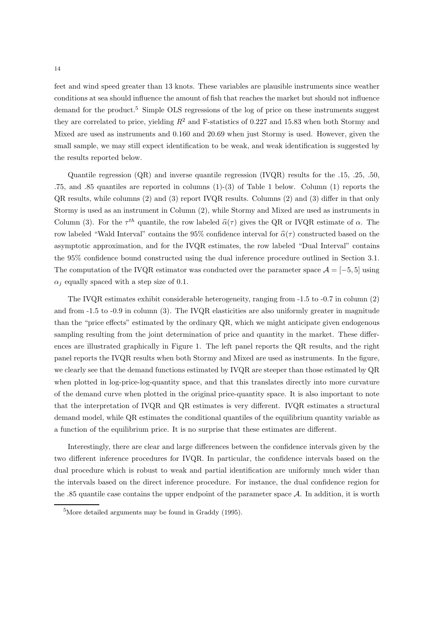feet and wind speed greater than 13 knots. These variables are plausible instruments since weather conditions at sea should influence the amount of fish that reaches the market but should not influence demand for the product.<sup>5</sup> Simple OLS regressions of the log of price on these instruments suggest they are correlated to price, yielding  $R^2$  and F-statistics of 0.227 and 15.83 when both Stormy and Mixed are used as instruments and 0.160 and 20.69 when just Stormy is used. However, given the small sample, we may still expect identification to be weak, and weak identification is suggested by the results reported below.

Quantile regression (QR) and inverse quantile regression (IVQR) results for the .15, .25, .50, .75, and .85 quantiles are reported in columns (1)-(3) of Table 1 below. Column (1) reports the QR results, while columns (2) and (3) report IVQR results. Columns (2) and (3) differ in that only Stormy is used as an instrument in Column (2), while Stormy and Mixed are used as instruments in Column (3). For the  $\tau^{th}$  quantile, the row labeled  $\hat{\alpha}(\tau)$  gives the QR or IVQR estimate of  $\alpha$ . The row labeled "Wald Interval" contains the 95% confidence interval for  $\hat{\alpha}(\tau)$  constructed based on the asymptotic approximation, and for the IVQR estimates, the row labeled "Dual Interval" contains the 95% confidence bound constructed using the dual inference procedure outlined in Section 3.1. The computation of the IVQR estimator was conducted over the parameter space  $\mathcal{A} = [-5, 5]$  using  $\alpha_i$  equally spaced with a step size of 0.1.

The IVQR estimates exhibit considerable heterogeneity, ranging from -1.5 to -0.7 in column (2) and from -1.5 to -0.9 in column (3). The IVQR elasticities are also uniformly greater in magnitude than the "price effects" estimated by the ordinary QR, which we might anticipate given endogenous sampling resulting from the joint determination of price and quantity in the market. These differences are illustrated graphically in Figure 1. The left panel reports the QR results, and the right panel reports the IVQR results when both Stormy and Mixed are used as instruments. In the figure, we clearly see that the demand functions estimated by IVQR are steeper than those estimated by QR when plotted in log-price-log-quantity space, and that this translates directly into more curvature of the demand curve when plotted in the original price-quantity space. It is also important to note that the interpretation of IVQR and QR estimates is very different. IVQR estimates a structural demand model, while QR estimates the conditional quantiles of the equilibrium quantity variable as a function of the equilibrium price. It is no surprise that these estimates are different.

Interestingly, there are clear and large differences between the confidence intervals given by the two different inference procedures for IVQR. In particular, the confidence intervals based on the dual procedure which is robust to weak and partial identification are uniformly much wider than the intervals based on the direct inference procedure. For instance, the dual confidence region for the .85 quantile case contains the upper endpoint of the parameter space A. In addition, it is worth

<sup>5</sup>More detailed arguments may be found in Graddy (1995).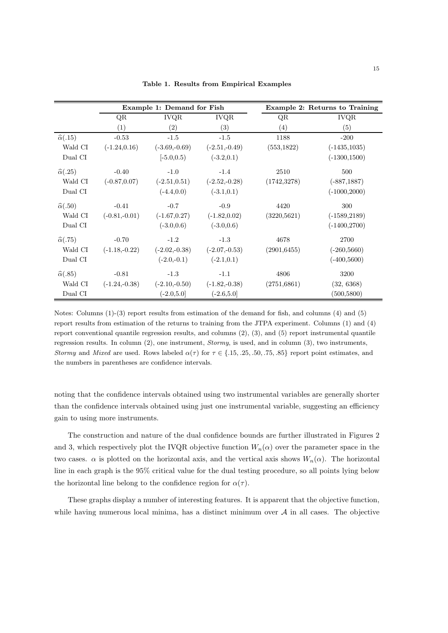|                         | Example 1: Demand for Fish |                 |                 | Example 2: Returns to Training |                 |
|-------------------------|----------------------------|-----------------|-----------------|--------------------------------|-----------------|
|                         | QR                         | <b>IVQR</b>     | <b>IVQR</b>     | QR                             | <b>IVQR</b>     |
|                         | $\left( 1\right)$          | (2)             | (3)             | (4)                            | (5)             |
| $\hat{\alpha}(.15)$     | $-0.53$                    | $-1.5$          | $-1.5$          | 1188                           | $-200$          |
| Wald CI                 | $(-1.24, 0.16)$            | $(-3.69,-0.69)$ | $(-2.51,-0.49)$ | (553, 1822)                    | $(-1435, 1035)$ |
| Dual CI                 |                            | $[-5.0, 0.5]$   | $(-3.2, 0.1)$   |                                | $(-1300, 1500)$ |
| $\hat{\alpha}(.25)$     | $-0.40$                    | $-1.0$          | $-1.4$          | 2510                           | 500             |
| Wald CI                 | $(-0.87, 0.07)$            | $(-2.51, 0.51)$ | $(-2.52,-0.28)$ | (1742, 3278)                   | $(-887, 1887)$  |
| Dual CI                 |                            | $(-4.4, 0.0)$   | $(-3.1, 0.1)$   |                                | $(-1000, 2000)$ |
| $\hat{\alpha}(.50)$     | $-0.41$                    | $-0.7$          | $-0.9$          | 4420                           | 300             |
| Wald CI                 | $(-0.81,-0.01)$            | $(-1.67, 0.27)$ | $(-1.82, 0.02)$ | (3220, 5621)                   | $(-1589, 2189)$ |
| Dual CI                 |                            | $(-3.0, 0.6)$   | $(-3.0, 0.6)$   |                                | $(-1400, 2700)$ |
| $\hat{\alpha}(.75)$     | $-0.70$                    | $-1.2$          | $-1.3$          | 4678                           | 2700            |
| Wald CI                 | $(-1.18,-0.22)$            | $(-2.02,-0.38)$ | $(-2.07,-0.53)$ | (2901, 6455)                   | $(-260, 5660)$  |
| Dual CI                 |                            | $(-2.0,-0.1)$   | $(-2.1, 0.1)$   |                                | $(-400,5600)$   |
| $\widehat{\alpha}(.85)$ | $-0.81$                    | $-1.3$          | $-1.1$          | 4806                           | 3200            |
| Wald CI                 | $(-1.24,-0.38)$            | $(-2.10,-0.50)$ | $(-1.82,-0.38)$ | (2751,6861)                    | (32, 6368)      |
| Dual CI                 |                            | $(-2.0,5.0]$    | $(-2.6, 5.0]$   |                                | (500, 5800)     |

Table 1. Results from Empirical Examples

Notes: Columns (1)-(3) report results from estimation of the demand for fish, and columns (4) and (5) report results from estimation of the returns to training from the JTPA experiment. Columns (1) and (4) report conventional quantile regression results, and columns  $(2)$ ,  $(3)$ , and  $(5)$  report instrumental quantile regression results. In column (2), one instrument, Stormy, is used, and in column (3), two instruments, Stormy and Mixed are used. Rows labeled  $\alpha(\tau)$  for  $\tau \in \{.15, .25, .50, .75, .85\}$  report point estimates, and the numbers in parentheses are confidence intervals.

noting that the confidence intervals obtained using two instrumental variables are generally shorter than the confidence intervals obtained using just one instrumental variable, suggesting an efficiency gain to using more instruments.

The construction and nature of the dual confidence bounds are further illustrated in Figures 2 and 3, which respectively plot the IVQR objective function  $W_n(\alpha)$  over the parameter space in the two cases.  $\alpha$  is plotted on the horizontal axis, and the vertical axis shows  $W_n(\alpha)$ . The horizontal line in each graph is the 95% critical value for the dual testing procedure, so all points lying below the horizontal line belong to the confidence region for  $\alpha(\tau)$ .

These graphs display a number of interesting features. It is apparent that the objective function, while having numerous local minima, has a distinct minimum over  $A$  in all cases. The objective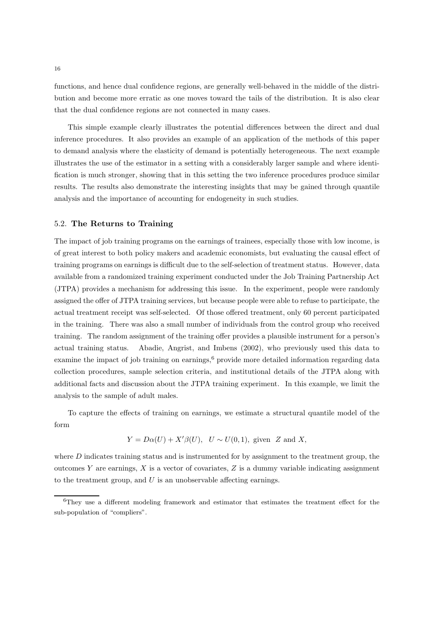functions, and hence dual confidence regions, are generally well-behaved in the middle of the distribution and become more erratic as one moves toward the tails of the distribution. It is also clear that the dual confidence regions are not connected in many cases.

This simple example clearly illustrates the potential differences between the direct and dual inference procedures. It also provides an example of an application of the methods of this paper to demand analysis where the elasticity of demand is potentially heterogeneous. The next example illustrates the use of the estimator in a setting with a considerably larger sample and where identification is much stronger, showing that in this setting the two inference procedures produce similar results. The results also demonstrate the interesting insights that may be gained through quantile analysis and the importance of accounting for endogeneity in such studies.

#### 5.2. The Returns to Training

The impact of job training programs on the earnings of trainees, especially those with low income, is of great interest to both policy makers and academic economists, but evaluating the causal effect of training programs on earnings is difficult due to the self-selection of treatment status. However, data available from a randomized training experiment conducted under the Job Training Partnership Act (JTPA) provides a mechanism for addressing this issue. In the experiment, people were randomly assigned the offer of JTPA training services, but because people were able to refuse to participate, the actual treatment receipt was self-selected. Of those offered treatment, only 60 percent participated in the training. There was also a small number of individuals from the control group who received training. The random assignment of the training offer provides a plausible instrument for a person's actual training status. Abadie, Angrist, and Imbens (2002), who previously used this data to examine the impact of job training on earnings, $6$  provide more detailed information regarding data collection procedures, sample selection criteria, and institutional details of the JTPA along with additional facts and discussion about the JTPA training experiment. In this example, we limit the analysis to the sample of adult males.

To capture the effects of training on earnings, we estimate a structural quantile model of the form

$$
Y = D\alpha(U) + X'\beta(U), \quad U \sim U(0, 1), \text{ given } Z \text{ and } X,
$$

where  $D$  indicates training status and is instrumented for by assignment to the treatment group, the outcomes  $Y$  are earnings,  $X$  is a vector of covariates,  $Z$  is a dummy variable indicating assignment to the treatment group, and  $U$  is an unobservable affecting earnings.

<sup>6</sup>They use a different modeling framework and estimator that estimates the treatment effect for the sub-population of "compliers".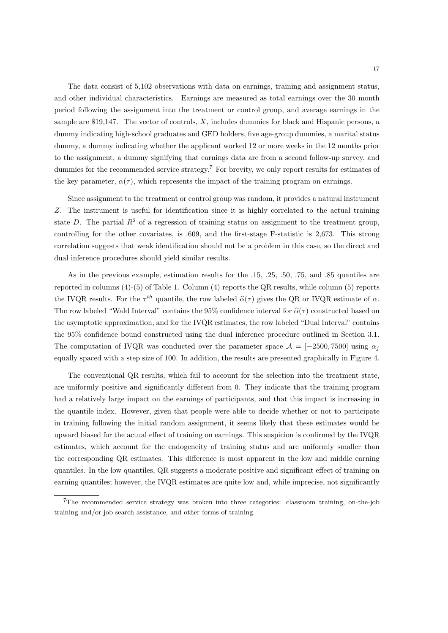The data consist of 5,102 observations with data on earnings, training and assignment status, and other individual characteristics. Earnings are measured as total earnings over the 30 month period following the assignment into the treatment or control group, and average earnings in the sample are \$19,147. The vector of controls,  $X$ , includes dummies for black and Hispanic persons, a dummy indicating high-school graduates and GED holders, five age-group dummies, a marital status dummy, a dummy indicating whether the applicant worked 12 or more weeks in the 12 months prior to the assignment, a dummy signifying that earnings data are from a second follow-up survey, and dummies for the recommended service strategy.<sup>7</sup> For brevity, we only report results for estimates of the key parameter,  $\alpha(\tau)$ , which represents the impact of the training program on earnings.

Since assignment to the treatment or control group was random, it provides a natural instrument Z. The instrument is useful for identification since it is highly correlated to the actual training state D. The partial  $R^2$  of a regression of training status on assignment to the treatment group, controlling for the other covariates, is .609, and the first-stage F-statistic is 2,673. This strong correlation suggests that weak identification should not be a problem in this case, so the direct and dual inference procedures should yield similar results.

As in the previous example, estimation results for the .15, .25, .50, .75, and .85 quantiles are reported in columns (4)-(5) of Table 1. Column (4) reports the QR results, while column (5) reports the IVQR results. For the  $\tau^{th}$  quantile, the row labeled  $\hat{\alpha}(\tau)$  gives the QR or IVQR estimate of  $\alpha$ . The row labeled "Wald Interval" contains the 95% confidence interval for  $\hat{\alpha}(\tau)$  constructed based on the asymptotic approximation, and for the IVQR estimates, the row labeled "Dual Interval" contains the 95% confidence bound constructed using the dual inference procedure outlined in Section 3.1. The computation of IVQR was conducted over the parameter space  $\mathcal{A} = [-2500, 7500]$  using  $\alpha_i$ equally spaced with a step size of 100. In addition, the results are presented graphically in Figure 4.

The conventional QR results, which fail to account for the selection into the treatment state, are uniformly positive and significantly different from 0. They indicate that the training program had a relatively large impact on the earnings of participants, and that this impact is increasing in the quantile index. However, given that people were able to decide whether or not to participate in training following the initial random assignment, it seems likely that these estimates would be upward biased for the actual effect of training on earnings. This suspicion is confirmed by the IVQR estimates, which account for the endogeneity of training status and are uniformly smaller than the corresponding QR estimates. This difference is most apparent in the low and middle earning quantiles. In the low quantiles, QR suggests a moderate positive and significant effect of training on earning quantiles; however, the IVQR estimates are quite low and, while imprecise, not significantly

<sup>&</sup>lt;sup>7</sup>The recommended service strategy was broken into three categories: classroom training, on-the-job training and/or job search assistance, and other forms of training.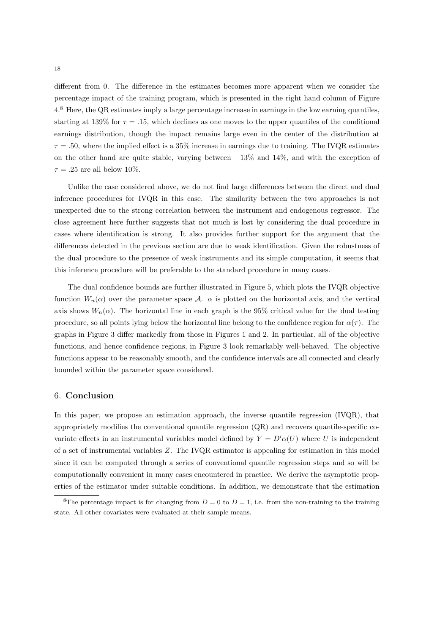different from 0. The difference in the estimates becomes more apparent when we consider the percentage impact of the training program, which is presented in the right hand column of Figure 4.<sup>8</sup> Here, the QR estimates imply a large percentage increase in earnings in the low earning quantiles, starting at 139% for  $\tau = .15$ , which declines as one moves to the upper quantiles of the conditional earnings distribution, though the impact remains large even in the center of the distribution at  $\tau = 0.50$ , where the implied effect is a 35% increase in earnings due to training. The IVQR estimates on the other hand are quite stable, varying between −13% and 14%, and with the exception of  $\tau = .25$  are all below 10%.

Unlike the case considered above, we do not find large differences between the direct and dual inference procedures for IVQR in this case. The similarity between the two approaches is not unexpected due to the strong correlation between the instrument and endogenous regressor. The close agreement here further suggests that not much is lost by considering the dual procedure in cases where identification is strong. It also provides further support for the argument that the differences detected in the previous section are due to weak identification. Given the robustness of the dual procedure to the presence of weak instruments and its simple computation, it seems that this inference procedure will be preferable to the standard procedure in many cases.

The dual confidence bounds are further illustrated in Figure 5, which plots the IVQR objective function  $W_n(\alpha)$  over the parameter space A.  $\alpha$  is plotted on the horizontal axis, and the vertical axis shows  $W_n(\alpha)$ . The horizontal line in each graph is the 95% critical value for the dual testing procedure, so all points lying below the horizontal line belong to the confidence region for  $\alpha(\tau)$ . The graphs in Figure 3 differ markedly from those in Figures 1 and 2. In particular, all of the objective functions, and hence confidence regions, in Figure 3 look remarkably well-behaved. The objective functions appear to be reasonably smooth, and the confidence intervals are all connected and clearly bounded within the parameter space considered.

#### 6. Conclusion

In this paper, we propose an estimation approach, the inverse quantile regression (IVQR), that appropriately modifies the conventional quantile regression (QR) and recovers quantile-specific covariate effects in an instrumental variables model defined by  $Y = D'\alpha(U)$  where U is independent of a set of instrumental variables Z. The IVQR estimator is appealing for estimation in this model since it can be computed through a series of conventional quantile regression steps and so will be computationally convenient in many cases encountered in practice. We derive the asymptotic properties of the estimator under suitable conditions. In addition, we demonstrate that the estimation

<sup>&</sup>lt;sup>8</sup>The percentage impact is for changing from  $D = 0$  to  $D = 1$ , i.e. from the non-training to the training state. All other covariates were evaluated at their sample means.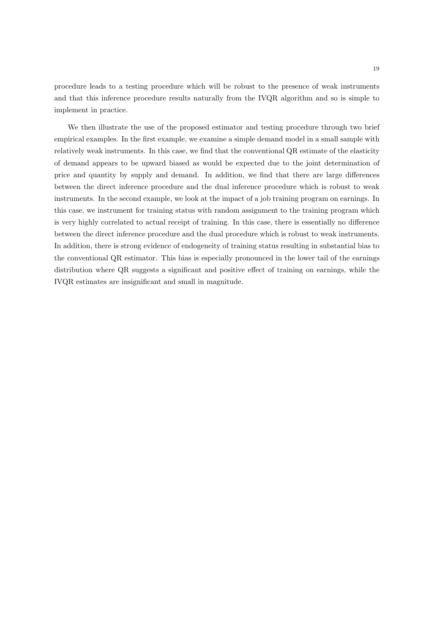procedure leads to a testing procedure which will be robust to the presence of weak instruments and that this inference procedure results naturally from the IVQR algorithm and so is simple to implement in practice.

We then illustrate the use of the proposed estimator and testing procedure through two brief empirical examples. In the first example, we examine a simple demand model in a small sample with relatively weak instruments. In this case, we find that the conventional QR estimate of the elasticity of demand appears to be upward biased as would be expected due to the joint determination of price and quantity by supply and demand. In addition, we find that there are large differences between the direct inference procedure and the dual inference procedure which is robust to weak instruments. In the second example, we look at the impact of a job training program on earnings. In this case, we instrument for training status with random assignment to the training program which is very highly correlated to actual receipt of training. In this case, there is essentially no difference between the direct inference procedure and the dual procedure which is robust to weak instruments. In addition, there is strong evidence of endogeneity of training status resulting in substantial bias to the conventional QR estimator. This bias is especially pronounced in the lower tail of the earnings distribution where QR suggests a significant and positive effect of training on earnings, while the IVQR estimates are insignificant and small in magnitude.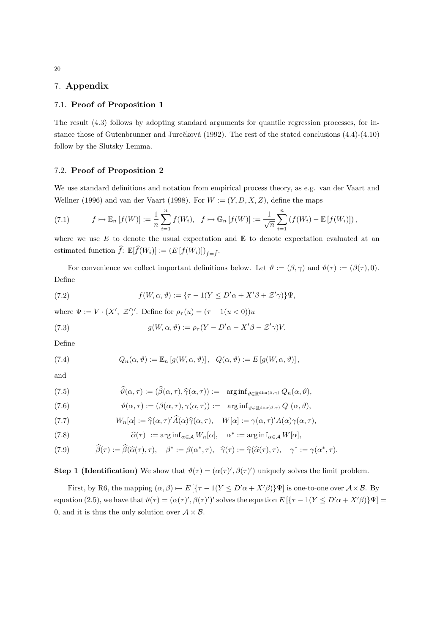# 7. Appendix

## 7.1. Proof of Proposition 1

The result (4.3) follows by adopting standard arguments for quantile regression processes, for instance those of Gutenbrunner and Jurečková (1992). The rest of the stated conclusions  $(4.4)-(4.10)$ follow by the Slutsky Lemma.

#### 7.2. Proof of Proposition 2

We use standard definitions and notation from empirical process theory, as e.g. van der Vaart and Wellner (1996) and van der Vaart (1998). For  $W := (Y, D, X, Z)$ , define the maps

(7.1) 
$$
f \mapsto \mathbb{E}_n \left[ f(W) \right] := \frac{1}{n} \sum_{i=1}^n f(W_i), \quad f \mapsto \mathbb{G}_n \left[ f(W) \right] := \frac{1}{\sqrt{n}} \sum_{i=1}^n \left( f(W_i) - \mathbb{E} \left[ f(W_i) \right] \right),
$$

where we use  $E$  to denote the usual expectation and  $E$  to denote expectation evaluated at an estimated function  $\widehat{f}: \mathbb{E}[\widehat{f}(W_i)] := (E[f(W_i)])_{f=\widehat{f}}.$ 

For convenience we collect important definitions below. Let  $\vartheta := (\beta, \gamma)$  and  $\vartheta(\tau) := (\beta(\tau), 0)$ . Define

(7.2) 
$$
f(W, \alpha, \vartheta) := \{ \tau - 1(Y \le D' \alpha + X' \beta + \mathcal{Z}' \gamma) \} \Psi,
$$

where  $\Psi := V \cdot (X', \mathcal{Z}')'.$  Define for  $\rho_{\tau}(u) = (\tau - 1(u < 0))u$ 

(7.3) 
$$
g(W, \alpha, \vartheta) := \rho_{\tau}(Y - D'\alpha - X'\beta - \mathcal{Z}'\gamma)V.
$$

Define

(7.4) 
$$
Q_n(\alpha, \vartheta) := \mathbb{E}_n [g(W, \alpha, \vartheta)], \quad Q(\alpha, \vartheta) := E [g(W, \alpha, \vartheta)],
$$

and

(7.5) 
$$
\widehat{\vartheta}(\alpha,\tau) := (\widehat{\beta}(\alpha,\tau),\widehat{\gamma}(\alpha,\tau)) := \arginf_{\vartheta \in \mathbb{R}^{\dim(\beta,\gamma)}} Q_n(\alpha,\vartheta),
$$

(7.6) 
$$
\vartheta(\alpha,\tau) := (\beta(\alpha,\tau),\gamma(\alpha,\tau)) := \arg\inf_{\vartheta \in \mathbb{R}^{\dim(\beta,\gamma)}} Q(\alpha,\vartheta),
$$

(7.7) 
$$
W_n[\alpha] := \hat{\gamma}(\alpha, \tau)' \hat{A}(\alpha) \hat{\gamma}(\alpha, \tau), \quad W[\alpha] := \gamma(\alpha, \tau)' A(\alpha) \gamma(\alpha, \tau),
$$

(7.8) 
$$
\widehat{\alpha}(\tau) := \arg \inf_{\alpha \in \mathcal{A}} W_n[\alpha], \quad \alpha^* := \arg \inf_{\alpha \in \mathcal{A}} W[\alpha],
$$

(7.9) 
$$
\widehat{\beta}(\tau) := \widehat{\beta}(\widehat{\alpha}(\tau), \tau), \quad \beta^* := \beta(\alpha^*, \tau), \quad \widehat{\gamma}(\tau) := \widehat{\gamma}(\widehat{\alpha}(\tau), \tau), \quad \gamma^* := \gamma(\alpha^*, \tau).
$$

**Step 1 (Identification)** We show that  $\vartheta(\tau) = (\alpha(\tau)', \beta(\tau)')$  uniquely solves the limit problem.

First, by R6, the mapping  $(\alpha, \beta) \mapsto E\left[\frac{\tau - 1}{Y \leq D'\alpha + X'\beta}\right]\Psi\right]$  is one-to-one over  $\mathcal{A} \times \mathcal{B}$ . By equation (2.5), we have that  $\vartheta(\tau) = (\alpha(\tau)', \beta(\tau)')'$  solves the equation  $E\left[\left\{\tau - 1(Y \le D'\alpha + X'\beta)\right\}\Psi\right] =$ 0, and it is thus the only solution over  $A \times B$ .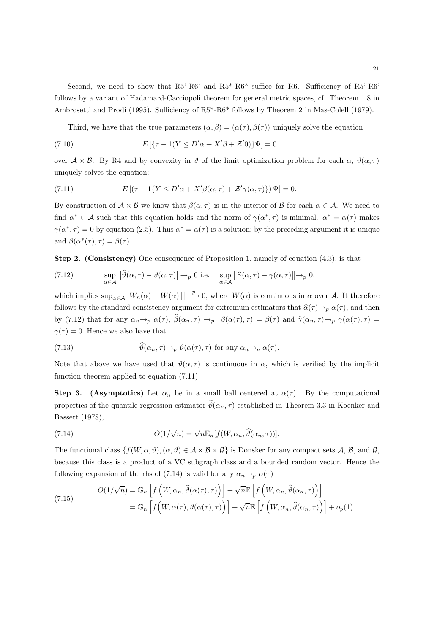Second, we need to show that R5'-R6' and R5\*-R6\* suffice for R6. Sufficiency of R5'-R6' follows by a variant of Hadamard-Cacciopoli theorem for general metric spaces, cf. Theorem 1.8 in Ambrosetti and Prodi (1995). Sufficiency of R5\*-R6\* follows by Theorem 2 in Mas-Colell (1979).

Third, we have that the true parameters  $(\alpha, \beta) = (\alpha(\tau), \beta(\tau))$  uniquely solve the equation

(7.10) 
$$
E[(\tau - 1(Y \le D'\alpha + X'\beta + \mathcal{Z}'0)]\Psi] = 0
$$

over  $\mathcal{A} \times \mathcal{B}$ . By R4 and by convexity in  $\vartheta$  of the limit optimization problem for each  $\alpha$ ,  $\vartheta(\alpha, \tau)$ uniquely solves the equation:

(7.11) 
$$
E[(\tau - 1\{Y \le D'\alpha + X'\beta(\alpha, \tau) + \mathcal{Z}'\gamma(\alpha, \tau)\})\Psi] = 0.
$$

By construction of  $A \times B$  we know that  $\beta(\alpha, \tau)$  is in the interior of B for each  $\alpha \in A$ . We need to find  $\alpha^* \in \mathcal{A}$  such that this equation holds and the norm of  $\gamma(\alpha^*, \tau)$  is minimal.  $\alpha^* = \alpha(\tau)$  makes  $\gamma(\alpha^*, \tau) = 0$  by equation (2.5). Thus  $\alpha^* = \alpha(\tau)$  is a solution; by the preceding argument it is unique and  $\beta(\alpha^*(\tau), \tau) = \beta(\tau)$ .

Step 2. (Consistency) One consequence of Proposition 1, namely of equation (4.3), is that

(7.12) 
$$
\sup_{\alpha \in \mathcal{A}} \left\| \widehat{\vartheta}(\alpha, \tau) - \vartheta(\alpha, \tau) \right\| \to_p 0 \text{ i.e. } \sup_{\alpha \in \mathcal{A}} \left\| \widehat{\gamma}(\alpha, \tau) - \gamma(\alpha, \tau) \right\| \to_p 0,
$$

which implies  $\sup_{\alpha \in \mathcal{A}} |W_n(\alpha) - W(\alpha)|| \longrightarrow 0$ , where  $W(\alpha)$  is continuous in  $\alpha$  over A. It therefore follows by the standard consistency argument for extremum estimators that  $\hat{\alpha}(\tau)\rightarrow_p \alpha(\tau)$ , and then by (7.12) that for any  $\alpha_n \to_p \alpha(\tau)$ ,  $\hat{\beta}(\alpha_n, \tau) \to_p \beta(\alpha(\tau), \tau) = \beta(\tau)$  and  $\hat{\gamma}(\alpha_n, \tau) \to_p \gamma(\alpha(\tau), \tau) =$  $\gamma(\tau) = 0$ . Hence we also have that

(7.13) 
$$
\vartheta(\alpha_n, \tau) \to_p \vartheta(\alpha(\tau), \tau) \text{ for any } \alpha_n \to_p \alpha(\tau).
$$

Note that above we have used that  $\vartheta(\alpha, \tau)$  is continuous in  $\alpha$ , which is verified by the implicit function theorem applied to equation (7.11).

Step 3. (Asymptotics) Let  $\alpha_n$  be in a small ball centered at  $\alpha(\tau)$ . By the computational properties of the quantile regression estimator  $\hat{\theta}(\alpha_n, \tau)$  established in Theorem 3.3 in Koenker and Bassett (1978),

(7.14) 
$$
O(1/\sqrt{n}) = \sqrt{n} \mathbb{E}_n[f(W, \alpha_n, \widehat{\vartheta}(\alpha_n, \tau))].
$$

The functional class  $\{f(W, \alpha, \vartheta), (\alpha, \vartheta) \in \mathcal{A} \times \mathcal{B} \times \mathcal{G}\}\$ is Donsker for any compact sets A, B, and G, because this class is a product of a VC subgraph class and a bounded random vector. Hence the following expansion of the rhs of (7.14) is valid for any  $\alpha_n \rightarrow_p \alpha(\tau)$ 

(7.15) 
$$
O(1/\sqrt{n}) = \mathbb{G}_n \left[ f\left(W, \alpha_n, \widehat{\vartheta}(\alpha(\tau), \tau)\right) \right] + \sqrt{n} \mathbb{E} \left[ f\left(W, \alpha_n, \widehat{\vartheta}(\alpha_n, \tau)\right) \right] = \mathbb{G}_n \left[ f\left(W, \alpha(\tau), \vartheta(\alpha(\tau), \tau)\right) \right] + \sqrt{n} \mathbb{E} \left[ f\left(W, \alpha_n, \widehat{\vartheta}(\alpha_n, \tau)\right) \right] + o_p(1).
$$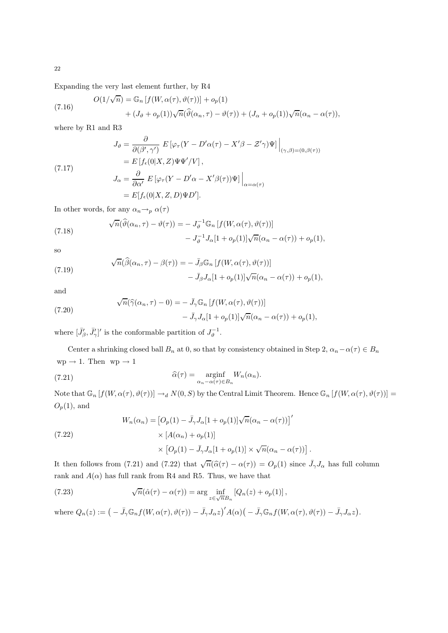Expanding the very last element further, by R4

(7.16) 
$$
O(1/\sqrt{n}) = \mathbb{G}_n [f(W, \alpha(\tau), \vartheta(\tau))] + o_p(1) + (J_{\vartheta} + o_p(1))\sqrt{n}(\widehat{\vartheta}(\alpha_n, \tau) - \vartheta(\tau)) + (J_{\alpha} + o_p(1))\sqrt{n}(\alpha_n - \alpha(\tau)),
$$

where by R1 and R3

(7.17)  
\n
$$
J_{\vartheta} = \frac{\partial}{\partial(\beta', \gamma')} E \left[ \varphi_{\tau} (Y - D'\alpha(\tau) - X'\beta - \mathcal{Z}'\gamma) \Psi \right] \Big|_{(\gamma, \beta) = (0, \beta(\tau))}
$$
\n
$$
= E \left[ f_{\epsilon}(0|X, Z) \Psi \Psi'/V \right],
$$
\n
$$
J_{\alpha} = \frac{\partial}{\partial \alpha'} E \left[ \varphi_{\tau} (Y - D'\alpha - X'\beta(\tau)) \Psi \right] \Big|_{\alpha = \alpha(\tau)}
$$
\n
$$
= E \left[ f_{\epsilon}(0|X, Z, D) \Psi D' \right].
$$

In other words, for any  $\alpha_n \rightarrow_p \alpha(\tau)$ 

(7.18) 
$$
\sqrt{n}(\widehat{\vartheta}(\alpha_n, \tau) - \vartheta(\tau)) = -J_{\vartheta}^{-1} \mathbb{G}_n \left[ f(W, \alpha(\tau), \vartheta(\tau)) \right] - J_{\vartheta}^{-1} J_{\alpha} [1 + o_p(1)] \sqrt{n} (\alpha_n - \alpha(\tau)) + o_p(1),
$$

so

(7.19) 
$$
\sqrt{n}(\widehat{\beta}(\alpha_n, \tau) - \beta(\tau)) = - \bar{J}_{\beta} \mathbb{G}_n [f(W, \alpha(\tau), \vartheta(\tau))]
$$

$$
- \bar{J}_{\beta} J_{\alpha} [1 + o_p(1)] \sqrt{n} (\alpha_n - \alpha(\tau)) + o_p(1),
$$

and

(7.20)  
\n
$$
\sqrt{n}(\widehat{\gamma}(\alpha_n, \tau) - 0) = - \bar{J}_{\gamma} \mathbb{G}_n [f(W, \alpha(\tau), \vartheta(\tau))]
$$
\n
$$
- \bar{J}_{\gamma} J_{\alpha} [1 + o_p(1)] \sqrt{n} (\alpha_n - \alpha(\tau)) + o_p(1),
$$

where  $[\bar{J}'_{\beta}, \bar{J}'_{\gamma}]'$  is the conformable partition of  $J_{\vartheta}^{-1}$ .

Center a shrinking closed ball  $B_n$  at 0, so that by consistency obtained in Step 2,  $\alpha_n-\alpha(\tau) \in B_n$  $wp \rightarrow 1$ . Then  $wp \rightarrow 1$ 

(7.21) 
$$
\widehat{\alpha}(\tau) = \underset{\alpha_n - \alpha(\tau) \in B_n}{\text{arginf}} W_n(\alpha_n).
$$

Note that  $\mathbb{G}_n[f(W, \alpha(\tau), \vartheta(\tau))] \to_d N(0, S)$  by the Central Limit Theorem. Hence  $\mathbb{G}_n[f(W, \alpha(\tau), \vartheta(\tau))] =$  $O_p(1)$ , and

.

(7.22)  
\n
$$
W_n(\alpha_n) = [O_p(1) - \bar{J}_\gamma J_\alpha [1 + o_p(1)] \sqrt{n} (\alpha_n - \alpha(\tau))]
$$
\n
$$
\times [A(\alpha_n) + o_p(1)]
$$
\n
$$
\times [O_p(1) - \bar{J}_\gamma J_\alpha [1 + o_p(1)] \times \sqrt{n} (\alpha_n - \alpha(\tau))]
$$

It then follows from (7.21) and (7.22) that  $\sqrt{n}(\hat{\alpha}(\tau) - \alpha(\tau)) = O_p(1)$  since  $\bar{J}_\gamma J_\alpha$  has full column rank and  $A(\alpha)$  has full rank from R4 and R5. Thus, we have that

(7.23) 
$$
\sqrt{n}(\hat{\alpha}(\tau) - \alpha(\tau)) = \arg \inf_{z \in \sqrt{n}B_n} [Q_n(z) + o_p(1)],
$$

where  $Q_n(z) := \left( - \bar{J}_{\gamma} \mathbb{G}_n f(W, \alpha(\tau), \vartheta(\tau)) - \bar{J}_{\gamma} J_{\alpha} z \right)' A(\alpha) \left( - \bar{J}_{\gamma} \mathbb{G}_n f(W, \alpha(\tau), \vartheta(\tau)) - \bar{J}_{\gamma} J_{\alpha} z \right).$ 

22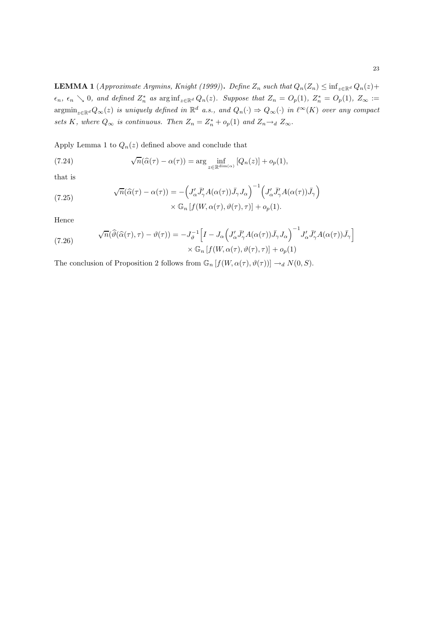**LEMMA 1** (Approximate Argmins, Knight (1999)). Define  $Z_n$  such that  $Q_n(Z_n) \leq \inf_{z \in \mathbb{R}^d} Q_n(z) +$  $\epsilon_n$ ,  $\epsilon_n \searrow 0$ , and defined  $Z_n^*$  as  $\arginf_{z \in \mathbb{R}^d} Q_n(z)$ . Suppose that  $Z_n = O_p(1)$ ,  $Z_n^* = O_p(1)$ ,  $Z_\infty :=$  $\operatorname{argmin}_{z \in \mathbb{R}^d} Q_\infty(z)$  is uniquely defined in  $\mathbb{R}^d$  a.s., and  $Q_n(\cdot) \Rightarrow Q_\infty(\cdot)$  in  $\ell^\infty(K)$  over any compact sets K, where  $Q_{\infty}$  is continuous. Then  $Z_n = Z_n^* + o_p(1)$  and  $Z_n \rightarrow_d Z_{\infty}$ .

Apply Lemma 1 to  $Q_n(z)$  defined above and conclude that

(7.24) 
$$
\sqrt{n}(\widehat{\alpha}(\tau) - \alpha(\tau)) = \arg \inf_{z \in \mathbb{R}^{\dim(\alpha)}} [Q_n(z)] + o_p(1),
$$

that is

(7.25) 
$$
\sqrt{n}(\widehat{\alpha}(\tau) - \alpha(\tau)) = -\left(J'_{\alpha}\bar{J}'_{\gamma}A(\alpha(\tau))\bar{J}_{\gamma}J_{\alpha}\right)^{-1}\left(J'_{\alpha}\bar{J}'_{\gamma}A(\alpha(\tau))\bar{J}_{\gamma}\right) \times \mathbb{G}_{n}\left[f(W,\alpha(\tau),\vartheta(\tau),\tau)\right] + o_{p}(1).
$$

Hence

(7.26) 
$$
\sqrt{n}(\widehat{\vartheta}(\widehat{\alpha}(\tau),\tau)-\vartheta(\tau))=-J_{\vartheta}^{-1}\Big[I-J_{\alpha}\Big(J'_{\alpha}\bar{J}'_{\gamma}A(\alpha(\tau))\bar{J}_{\gamma}J_{\alpha}\Big)^{-1}J'_{\alpha}\bar{J}'_{\gamma}A(\alpha(\tau))\bar{J}_{\gamma}\Big] \times \mathbb{G}_{n}\left[f(W,\alpha(\tau),\vartheta(\tau),\tau)\right]+o_{p}(1)
$$

The conclusion of Proposition 2 follows from  $\mathbb{G}_n[f(W, \alpha(\tau), \vartheta(\tau))] \to_d N(0, S)$ .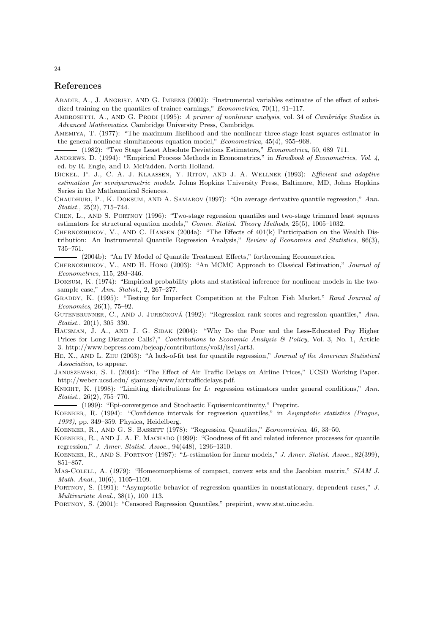#### References

- ABADIE, A., J. ANGRIST, AND G. IMBENS (2002): "Instrumental variables estimates of the effect of subsidized training on the quantiles of trainee earnings," *Econometrica*, 70(1), 91-117.
- AMBROSETTI, A., AND G. PRODI (1995): A primer of nonlinear analysis, vol. 34 of Cambridge Studies in Advanced Mathematics. Cambridge University Press, Cambridge.
- AMEMIYA, T. (1977): "The maximum likelihood and the nonlinear three-stage least squares estimator in the general nonlinear simultaneous equation model," Econometrica, 45(4), 955–968.

(1982): "Two Stage Least Absolute Deviations Estimators," Econometrica, 50, 689–711.

- ANDREWS, D. (1994): "Empirical Process Methods in Econometrics," in Handbook of Econometrics, Vol. 4, ed. by R. Engle, and D. McFadden. North Holland.
- BICKEL, P. J., C. A. J. KLAASSEN, Y. RITOV, AND J. A. WELLNER (1993): Efficient and adaptive estimation for semiparametric models. Johns Hopkins University Press, Baltimore, MD, Johns Hopkins Series in the Mathematical Sciences.
- CHAUDHURI, P., K. DOKSUM, AND A. SAMAROV (1997): "On average derivative quantile regression," Ann. Statist., 25(2), 715–744.
- Chen, L., and S. Portnoy (1996): "Two-stage regression quantiles and two-stage trimmed least squares estimators for structural equation models," Comm. Statist. Theory Methods, 25(5), 1005–1032.
- Chernozhukov, V., and C. Hansen (2004a): "The Effects of 401(k) Participation on the Wealth Distribution: An Instrumental Quantile Regression Analysis," Review of Economics and Statistics, 86(3), 735–751.

(2004b): "An IV Model of Quantile Treatment Effects," forthcoming Econometrica.

- Chernozhukov, V., and H. Hong (2003): "An MCMC Approach to Classical Estimation," Journal of Econometrics, 115, 293–346.
- Doksum, K. (1974): "Empirical probability plots and statistical inference for nonlinear models in the twosample case," Ann. Statist., 2, 267-277.
- GRADDY, K. (1995): "Testing for Imperfect Competition at the Fulton Fish Market," Rand Journal of Economics, 26(1), 75–92.
- GUTENBRUNNER, C., AND J. JUREČKOVÁ (1992): "Regression rank scores and regression quantiles," Ann. Statist., 20(1), 305–330.
- HAUSMAN, J. A., AND J. G. SIDAK (2004): "Why Do the Poor and the Less-Educated Pay Higher Prices for Long-Distance Calls?," Contributions to Economic Analysis & Policy, Vol. 3, No. 1, Article 3. http://www.bepress.com/bejeap/contributions/vol3/iss1/art3.
- HE, X., AND L. ZHU (2003): "A lack-of-fit test for quantile regression," Journal of the American Statistical Association, to appear.

Januszewski, S. I. (2004): "The Effect of Air Traffic Delays on Airline Prices," UCSD Working Paper. http://weber.ucsd.edu/ sjanusze/www/airtrafficdelays.pdf.

KNIGHT, K. (1998): "Limiting distributions for  $L_1$  regression estimators under general conditions," Ann. Statist., 26(2), 755–770.

(1999): "Epi-convergence and Stochastic Equisemicontinuity," Preprint.

- Koenker, R. (1994): "Confidence intervals for regression quantiles," in Asymptotic statistics (Prague, 1993), pp. 349–359. Physica, Heidelberg.
- Koenker, R., and G. S. Bassett (1978): "Regression Quantiles," Econometrica, 46, 33–50.
- KOENKER, R., AND J. A. F. MACHADO (1999): "Goodness of fit and related inference processes for quantile regression," J. Amer. Statist. Assoc., 94(448), 1296–1310.
- KOENKER, R., AND S. PORTNOY (1987): "L-estimation for linear models," J. Amer. Statist. Assoc., 82(399), 851–857.
- MAS-COLELL, A. (1979): "Homeomorphisms of compact, convex sets and the Jacobian matrix," SIAM J. Math. Anal., 10(6), 1105–1109.
- PORTNOY, S. (1991): "Asymptotic behavior of regression quantiles in nonstationary, dependent cases," J. Multivariate Anal., 38(1), 100–113.
- Portnoy, S. (2001): "Censored Regression Quantiles," prepirint, www.stat.uiuc.edu.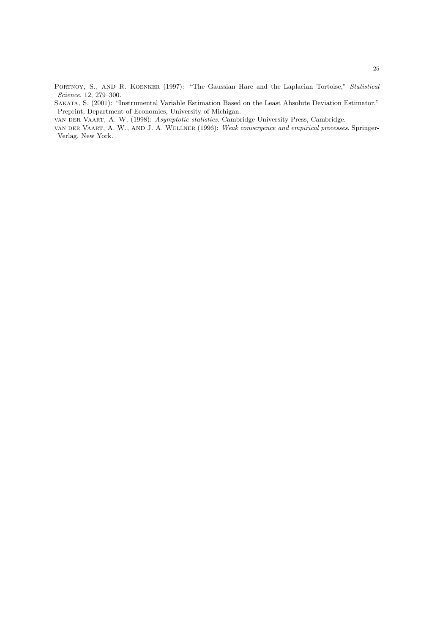PORTNOY, S., AND R. KOENKER (1997): "The Gaussian Hare and the Laplacian Tortoise," Statistical Science, 12, 279–300.

Sakata, S. (2001): "Instrumental Variable Estimation Based on the Least Absolute Deviation Estimator," Preprint, Department of Economics, University of Michigan.

van der Vaart, A. W. (1998): Asymptotic statistics. Cambridge University Press, Cambridge.

van der Vaart, A. W., and J. A. Wellner (1996): Weak convergence and empirical processes. Springer-Verlag, New York.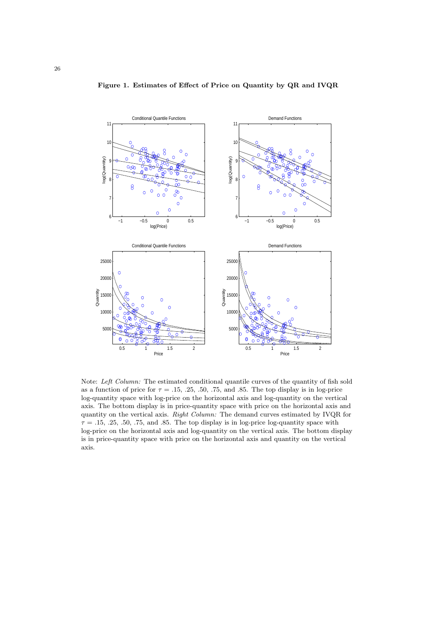



Note: Left Column: The estimated conditional quantile curves of the quantity of fish sold as a function of price for  $\tau = .15, .25, .50, .75,$  and .85. The top display is in log-price log-quantity space with log-price on the horizontal axis and log-quantity on the vertical axis. The bottom display is in price-quantity space with price on the horizontal axis and quantity on the vertical axis. Right Column: The demand curves estimated by IVQR for  $\tau = .15, .25, .50, .75,$  and  $.85$ . The top display is in log-price log-quantity space with log-price on the horizontal axis and log-quantity on the vertical axis. The bottom display is in price-quantity space with price on the horizontal axis and quantity on the vertical axis.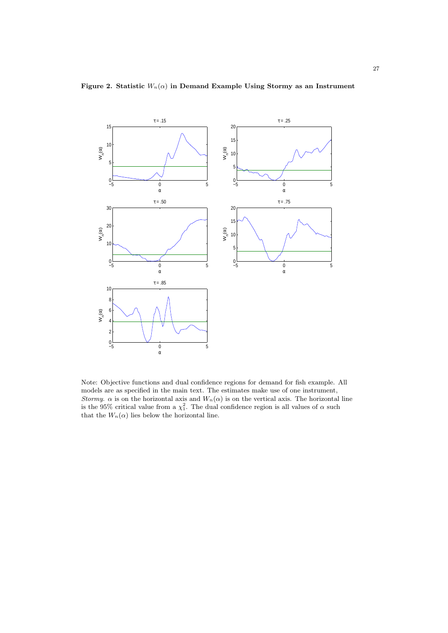

Figure 2. Statistic  $W_n(\alpha)$  in Demand Example Using Stormy as an Instrument

Note: Objective functions and dual confidence regions for demand for fish example. All models are as specified in the main text. The estimates make use of one instrument, Stormy.  $\alpha$  is on the horizontal axis and  $W_n(\alpha)$  is on the vertical axis. The horizontal line is the 95% critical value from a  $\chi_1^2$ . The dual confidence region is all values of  $\alpha$  such that the  $W_n(\alpha)$  lies below the horizontal line.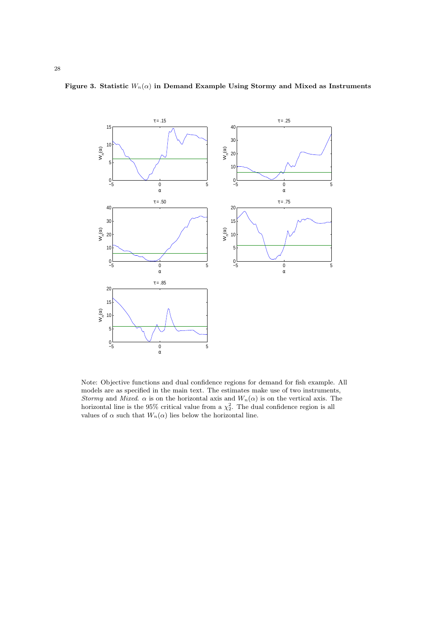

Figure 3. Statistic  $W_n(\alpha)$  in Demand Example Using Stormy and Mixed as Instruments

Note: Objective functions and dual confidence regions for demand for fish example. All models are as specified in the main text. The estimates make use of two instruments, Stormy and Mixed.  $\alpha$  is on the horizontal axis and  $W_n(\alpha)$  is on the vertical axis. The horizontal line is the 95% critical value from a  $\chi^2$ . The dual confidence region is all values of  $\alpha$  such that  $W_n(\alpha)$  lies below the horizontal line.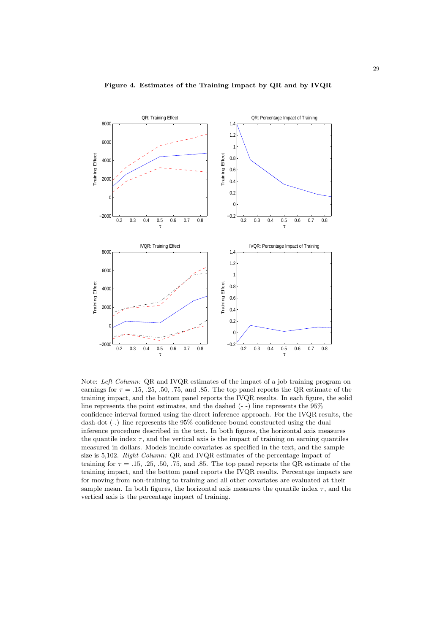

#### Figure 4. Estimates of the Training Impact by QR and by IVQR

Note: Left Column: QR and IVQR estimates of the impact of a job training program on earnings for  $\tau = .15, .25, .50, .75,$  and .85. The top panel reports the QR estimate of the training impact, and the bottom panel reports the IVQR results. In each figure, the solid line represents the point estimates, and the dashed (- -) line represents the 95% confidence interval formed using the direct inference approach. For the IVQR results, the dash-dot (-.) line represents the 95% confidence bound constructed using the dual inference procedure described in the text. In both figures, the horizontal axis measures the quantile index  $\tau$ , and the vertical axis is the impact of training on earning quantiles measured in dollars. Models include covariates as specified in the text, and the sample size is 5,102. Right Column: QR and IVQR estimates of the percentage impact of training for  $\tau = .15, .25, .50, .75,$  and .85. The top panel reports the QR estimate of the training impact, and the bottom panel reports the IVQR results. Percentage impacts are for moving from non-training to training and all other covariates are evaluated at their sample mean. In both figures, the horizontal axis measures the quantile index  $\tau$ , and the vertical axis is the percentage impact of training.